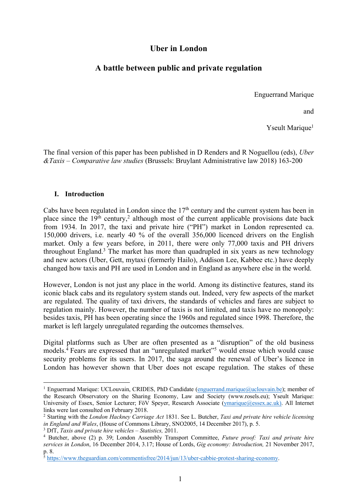# **Uber in London**

# **A battle between public and private regulation**

Enguerrand Marique

and

Yseult Marique<sup>1</sup>

The final version of this paper has been published in D Renders and R Noguellou (eds), *Uber &Taxis – Comparative law studies* (Brussels: Bruylant Administrative law 2018) 163-200

## **I. Introduction**

Cabs have been regulated in London since the 17<sup>th</sup> century and the current system has been in place since the  $19<sup>th</sup>$  century,<sup>2</sup> although most of the current applicable provisions date back from 1934. In 2017, the taxi and private hire ("PH") market in London represented ca. 150,000 drivers, i.e. nearly 40 % of the overall 356,000 licenced drivers on the English market. Only a few years before, in 2011, there were only 77,000 taxis and PH drivers throughout England.<sup>3</sup> The market has more than quadrupled in six years as new technology and new actors (Uber, Gett, mytaxi (formerly Hailo), Addison Lee, Kabbee etc.) have deeply changed how taxis and PH are used in London and in England as anywhere else in the world.

However, London is not just any place in the world. Among its distinctive features, stand its iconic black cabs and its regulatory system stands out. Indeed, very few aspects of the market are regulated. The quality of taxi drivers, the standards of vehicles and fares are subject to regulation mainly. However, the number of taxis is not limited, and taxis have no monopoly: besides taxis, PH has been operating since the 1960s and regulated since 1998. Therefore, the market is left largely unregulated regarding the outcomes themselves.

Digital platforms such as Uber are often presented as a "disruption" of the old business models. <sup>4</sup> Fears are expressed that an "unregulated market"5 would ensue which would cause security problems for its users. In 2017, the saga around the renewal of Uber's licence in London has however shown that Uber does not escape regulation. The stakes of these

<sup>&</sup>lt;sup>1</sup> Enguerrand Marique: UCLouvain, CRIDES, PhD Candidate (enguerrand.marique@uclouvain.be); member of the Research Observatory on the Sharing Economy, Law and Society (www.rosels.eu); Yseult Marique: University of Essex, Senior Lecturer; FöV Speyer, Research Associate (ymarique@essex.ac.uk). All Internet links were last consulted on February 2018.

<sup>2</sup> Starting with the *London Hackney Carriage Act* 1831. See L. Butcher, *Taxi and private hire vehicle licensing in England and Wales*, (House of Commons Library, SNO2005, 14 December 2017), p. 5. <sup>3</sup> DfT, *Taxis and private hire vehicles – Statistics,* 2011.

<sup>4</sup> Butcher, above (2) p. 39; London Assembly Transport Committee, *Future proof: Taxi and private hire services in London*, 16 December 2014, 3.17; House of Lords, *Gig economy: Introduction,* 21 November 2017, p. 8.

<sup>&</sup>lt;sup>5</sup> https://www.theguardian.com/commentisfree/2014/jun/13/uber-cabbie-protest-sharing-economy.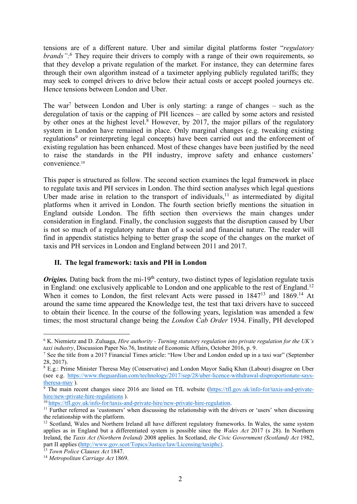tensions are of a different nature. Uber and similar digital platforms foster "*regulatory brands":*<sup>6</sup> They require their drivers to comply with a range of their own requirements, so that they develop a private regulation of the market*.* For instance, they can determine fares through their own algorithm instead of a taximeter applying publicly regulated tariffs; they may seek to compel drivers to drive below their actual costs or accept pooled journeys etc. Hence tensions between London and Uber.

The war<sup>7</sup> between London and Uber is only starting: a range of changes – such as the deregulation of taxis or the capping of PH licences – are called by some actors and resisted by other ones at the highest level.<sup>8</sup> However, by 2017, the major pillars of the regulatory system in London have remained in place. Only marginal changes (e.g. tweaking existing regulations<sup>9</sup> or reinterpreting legal concepts) have been carried out and the enforcement of existing regulation has been enhanced. Most of these changes have been justified by the need to raise the standards in the PH industry, improve safety and enhance customers' convenience. 10

This paper is structured as follow. The second section examines the legal framework in place to regulate taxis and PH services in London. The third section analyses which legal questions Uber made arise in relation to the transport of individuals, $<sup>11</sup>$  as intermediated by digital</sup> platforms when it arrived in London. The fourth section briefly mentions the situation in England outside London. The fifth section then overviews the main changes under consideration in England. Finally, the conclusion suggests that the disruption caused by Uber is not so much of a regulatory nature than of a social and financial nature. The reader will find in appendix statistics helping to better grasp the scope of the changes on the market of taxis and PH services in London and England between 2011 and 2017.

# **II. The legal framework: taxis and PH in London**

*Origins*. Dating back from the mi-19<sup>th</sup> century, two distinct types of legislation regulate taxis in England: one exclusively applicable to London and one applicable to the rest of England.<sup>12</sup> When it comes to London, the first relevant Acts were passed in 1847<sup>13</sup> and 1869.<sup>14</sup> At around the same time appeared the Knowledge test, the test that taxi drivers have to succeed to obtain their licence. In the course of the following years, legislation was amended a few times; the most structural change being the *London Cab Order* 1934. Finally, PH developed

 <sup>6</sup> K. Niemietz and D. Zuluaga, *Hire authority - Turning statutory regulation into private regulation for the UK's taxi industry*, Discussion Paper No.76, Institute of Economic Affairs, October 2016, p. 9.

<sup>7</sup> See the title from a 2017 Financial Times article: "How Uber and London ended up in a taxi war" (September 28, 2017).

<sup>8</sup> E.g.: Prime Minister Theresa May (Conservative) and London Mayor Sadiq Khan (Labour) disagree on Uber (see e.g. https://www.theguardian.com/technology/2017/sep/28/uber-licence-withdrawal-disproportionate-saystheresa-may ).

<sup>&</sup>lt;sup>9</sup> The main recent changes since 2016 are listed on TfL website (https://tfl.gov.uk/info-for/taxis-and-privatehire/new-private-hire-regulations).<br><sup>10</sup>https://tfl.gov.uk/info-for/taxis-and-private-hire/new-private-hire-regulation.

 $11$  Further referred as 'customers' when discussing the relationship with the drivers or 'users' when discussing the relationship with the platform.<br><sup>12</sup> Scotland, Wales and Northern Ireland all have different regulatory frameworks. In Wales, the same system

applies as in England but a differentiated system is possible since the *Wales Act* 2017 (s 28). In Northern Ireland, the *Taxis Act (Northern Ireland)* 2008 applies. In Scotland, *the Civic Government (Scotland) Act* 1982, part II applies (http://www.gov.scot/Topics/Justice/law/Licensing/taxiphc). 13 *Town Police Clauses Act* 1847.

<sup>14</sup> *Metropolitan Carriage Act* 1869.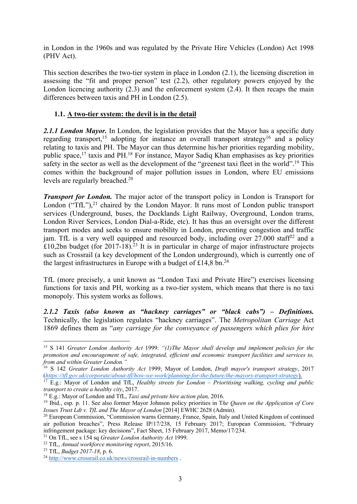in London in the 1960s and was regulated by the Private Hire Vehicles (London) Act 1998 (PHV Act).

This section describes the two-tier system in place in London (2.1), the licensing discretion in assessing the "fit and proper person" test (2.2), other regulatory powers enjoyed by the London licencing authority (2.3) and the enforcement system (2.4). It then recaps the main differences between taxis and PH in London (2.5).

# **1.1. A two-tier system: the devil is in the detail**

*2.1.1 London Mayor.* In London, the legislation provides that the Mayor has a specific duty regarding transport,<sup>15</sup> adopting for instance an overall transport strategy<sup>16</sup> and a policy relating to taxis and PH. The Mayor can thus determine his/her priorities regarding mobility, public space,<sup>17</sup> taxis and PH.<sup>18</sup> For instance, Mayor Sadiq Khan emphasises as key priorities safety in the sector as well as the development of the "greenest taxi fleet in the world".<sup>19</sup> This comes within the background of major pollution issues in London, where EU emissions levels are regularly breached.<sup>20</sup>

*Transport for London.* The major actor of the transport policy in London is Transport for London ("TfL"), $^{21}$  chaired by the London Mayor. It runs most of London public transport services (Underground, buses, the Docklands Light Railway, Overground, London trams, London River Services, London Dial-a-Ride, etc). It has thus an oversight over the different transport modes and seeks to ensure mobility in London, preventing congestion and traffic jam. TfL is a very well equipped and resourced body, including over  $27.000$  staff<sup>22</sup> and a £10,2bn budget (for 2017-18).<sup>23</sup> It is in particular in charge of major infrastructure projects such as Crossrail (a key development of the London underground), which is currently one of the largest infrastructures in Europe with a budget of £14,8 bn.<sup>24</sup>

TfL (more precisely, a unit known as "London Taxi and Private Hire") exercises licensing functions for taxis and PH, working as a two-tier system, which means that there is no taxi monopoly. This system works as follows.

*2.1.2 Taxis (also known as "hackney carriages" or "black cabs") – Definitions.* Technically, the legislation regulates "hackney carriages". The *Metropolitan Carriage* Act 1869 defines them as "*any carriage for the conveyance of passengers which plies for hire* 

 <sup>15</sup> <sup>S</sup> <sup>141</sup>*Greater London Authority Act* 1999: *"(1)The Mayor shall develop and implement policies for the promotion and encouragement of safe, integrated, efficient and economic transport facilities and services to, from and within Greater London."*

<sup>16</sup> S 142 *Greater London Authority Act* 1999; Mayor of London, *Draft mayor's transport strategy*, 2017 (*https://tfl.gov.uk/corporate/about-tfl/how-we-work/planning-for-the-future/the-mayors-transport-strategy*).

<sup>17</sup> E.g.: Mayor of London and TfL, *Healthy streets for London – Prioritising walking, cycling and public transport to create a healthy city*, 2017.<br><sup>18</sup> E.g.: Mayor of London and TfL, *Taxi and private hire action plan*, 2016.

<sup>19</sup> Ibid., esp. p. 11. See also former Mayor Johnson policy priorities in T*he Queen on the Application of Core Issues Trust Ldt v. TfL and The Mayor of London* [2014] EWHC 2628 (Admin).

<sup>&</sup>lt;sup>20</sup> European Commission, "Commission warns Germany, France, Spain, Italy and United Kingdom of continued air pollution breaches", Press Release IP/17/238, 15 February 2017; European Commission, "February infringement package: key decisions", Fact Sheet, 15 February 2017, Memo/17/234. 21 On TfL, see s 154 sq *Greater London Authority Act* 1999.

<sup>22</sup> TfL, *Annual workforce monitoring report*, 2015/16.

<sup>23</sup> TfL, *Budget 2017-18*, p. 6.

<sup>24</sup> http://www.crossrail.co.uk/news/crossrail-in-numbers .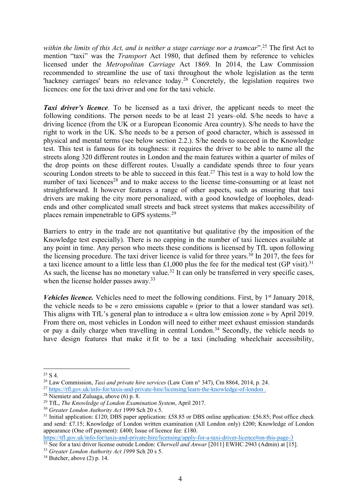*within the limits of this Act, and is neither a stage carriage nor a tramcar*".25 The first Act to mention "taxi" was the *Transport* Act 1980, that defined them by reference to vehicles licensed under the *Metropolitan Carriage* Act 1869. In 2014, the Law Commission recommended to streamline the use of taxi throughout the whole legislation as the term 'hackney carriages' bears no relevance today.<sup>26</sup> Concretely, the legislation requires two licences: one for the taxi driver and one for the taxi vehicle.

*Taxi driver's licence.* To be licensed as a taxi driver, the applicant needs to meet the following conditions. The person needs to be at least 21 years–old. S/he needs to have a driving licence (from the UK or a European Economic Area country). S/he needs to have the right to work in the UK. S/he needs to be a person of good character, which is assessed in physical and mental terms (see below section 2.2.). S/he needs to succeed in the Knowledge test. This test is famous for its toughness: it requires the driver to be able to name all the streets along 320 different routes in London and the main features within a quarter of miles of the drop points on these different routes. Usually a candidate spends three to four years scouring London streets to be able to succeed in this feat.<sup>27</sup> This test is a way to hold low the number of taxi licences<sup>28</sup> and to make access to the license time-consuming or at least not straightforward. It however features a range of other aspects, such as ensuring that taxi drivers are making the city more personalized, with a good knowledge of loopholes, deadends and other complicated small streets and back street systems that makes accessibility of places remain impenetrable to GPS systems.<sup>29</sup>

Barriers to entry in the trade are not quantitative but qualitative (by the imposition of the Knowledge test especially). There is no capping in the number of taxi licences available at any point in time. Any person who meets these conditions is licensed by TfL upon following the licensing procedure. The taxi driver licence is valid for three years.<sup>30</sup> In 2017, the fees for a taxi licence amount to a little less than £1,000 plus the fee for the medical test (GP visit).<sup>31</sup> As such, the license has no monetary value.<sup>32</sup> It can only be transferred in very specific cases, when the license holder passes away.<sup>33</sup>

*Vehicles licence.* Vehicles need to meet the following conditions. First, by 1<sup>st</sup> January 2018, the vehicle needs to be « zero emissions capable » (prior to that a lower standard was set). This aligns with TfL's general plan to introduce a « ultra low emission zone » by April 2019. From there on, most vehicles in London will need to either meet exhaust emission standards or pay a daily charge when travelling in central London.<sup>34</sup> Secondly, the vehicle needs to have design features that make it fit to be a taxi (including wheelchair accessibility,

https://tfl.gov.uk/info-for/taxis-and-private-hire/licensing/apply-for-a-taxi-driver-licence#on-this-page-3

 $25 \text{ S } 4.$ 

<sup>26</sup> Law Commission, *Taxi and private hire services* (Law Com n° 347), Cm 8864, 2014, p. 24.

<sup>&</sup>lt;sup>27</sup> https://tfl.gov.uk/info-for/taxis-and-private-hire/licensing/learn-the-knowledge-of-london .

<sup>28</sup> Niemietz and Zuluaga, above (6) p. 8.

<sup>29</sup> TfL, *The Knowledge of London Examination System*, April 2017.

<sup>30</sup> *Greater London Authority Act* 1999 Sch 20 s 5.

<sup>&</sup>lt;sup>31</sup> Initial application: £120; DBS paper application: £58.85 or DBS online application: £56.85; Post office check and send: £7.15; Knowledge of London written examination (All London only) £200; Knowledge of London appearance (One off payment): £400; Issue of licence fee: £180.

<sup>&</sup>lt;sup>32</sup> See for a taxi driver license outside London: *Cherwell and Anwar* [2011] EWHC 2943 (Admin) at [15].

<sup>33</sup> *Greater London Authority Act 1999* Sch 20 s 5.

 $34$  Butcher, above  $(2)$  p. 14.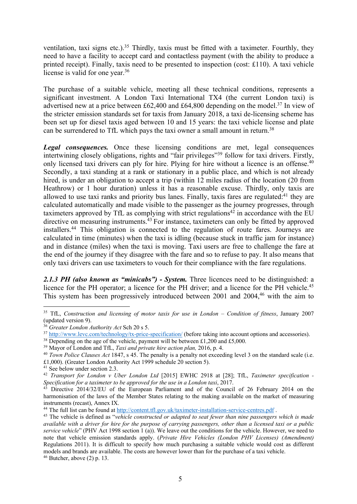ventilation, taxi signs etc.).<sup>35</sup> Thirdly, taxis must be fitted with a taximeter. Fourthly, they need to have a facility to accept card and contactless payment (with the ability to produce a printed receipt). Finally, taxis need to be presented to inspection (cost: £110). A taxi vehicle license is valid for one year.<sup>36</sup>

The purchase of a suitable vehicle, meeting all these technical conditions, represents a significant investment. A London Taxi International TX4 (the current London taxi) is advertised new at a price between £62,400 and £64,800 depending on the model.37 In view of the stricter emission standards set for taxis from January 2018, a taxi de-licensing scheme has been set up for diesel taxis aged between 10 and 15 years: the taxi vehicle license and plate can be surrendered to TfL which pays the taxi owner a small amount in return.<sup>38</sup>

*Legal consequences.* Once these licensing conditions are met, legal consequences intertwining closely obligations, rights and "fair privileges"<sup>39</sup> follow for taxi drivers. Firstly, only licensed taxi drivers can ply for hire. Plying for hire without a licence is an offense.<sup>40</sup> Secondly, a taxi standing at a rank or stationary in a public place, and which is not already hired, is under an obligation to accept a trip (within 12 miles radius of the location (20 from Heathrow) or 1 hour duration) unless it has a reasonable excuse. Thirdly, only taxis are allowed to use taxi ranks and priority bus lanes. Finally, taxis fares are regulated:<sup>41</sup> they are calculated automatically and made visible to the passenger as the journey progresses, through taximeters approved by TfL as complying with strict regulations<sup>42</sup> in accordance with the EU directive on measuring instruments.<sup>43</sup> For instance, taximeters can only be fitted by approved installers.44 This obligation is connected to the regulation of route fares. Journeys are calculated in time (minutes) when the taxi is idling (because stuck in traffic jam for instance) and in distance (miles) when the taxi is moving. Taxi users are free to challenge the fare at the end of the journey if they disagree with the fare and so to refuse to pay. It also means that only taxi drivers can use taximeters to vouch for their compliance with the fare regulations.

*2.1.3 PH (also known as "minicabs") - System.* Three licences need to be distinguished: a licence for the PH operator; a licence for the PH driver; and a licence for the PH vehicle.<sup>45</sup> This system has been progressively introduced between 2001 and 2004,<sup>46</sup> with the aim to

 <sup>35</sup> TfL, *Construction and licensing of motor taxis for use in London – Condition of fitness*, January 2007 (updated version 9).

<sup>36</sup> *Greater London Authority Act* Sch 20 s 5.

<sup>&</sup>lt;sup>37</sup> http://www.levc.com/technology/tx-price-specification/ (before taking into account options and accessories).

<sup>&</sup>lt;sup>38</sup> Depending on the age of the vehicle, payment will be between £1,200 and £5,000.

<sup>39</sup> Mayor of London and TfL, *Taxi and private hire action plan,* 2016, p. 4.

<sup>40</sup> *Town Police Clauses Act* 1847, s 45. The penalty is a penalty not exceeding level 3 on the standard scale (i.e. £1,000). (Greater London Authority Act 1999 schedule 20 section 5).

<sup>41</sup> See below under section 2.3.

<sup>42</sup> *Transport for London v Uber London Ltd* [2015] EWHC 2918 at [28]; TfL, *Taximeter specification - Specification for a taximeter to be approved for the use in a London taxi*, 2017.

Directive 2014/32/EU of the European Parliament and of the Council of 26 February 2014 on the harmonisation of the laws of the Member States relating to the making available on the market of measuring instruments (recast), Annex IX.<br><sup>44</sup> The full list can be found at http://content.tfl.gov.uk/taximeter-installation-service-centres.pdf.

<sup>45</sup> The vehicle is defined as "*vehicle constructed or adapted to seat fewer than nine passengers which is made available with a driver for hire for the purpose of carrying passengers, other than a licensed taxi or a public service vehicle*" (PHV Act 1998 section 1 (a)). We leave out the conditions for the vehicle. However, we need to note that vehicle emission standards apply. (*Private Hire Vehicles (London PHV Licenses) (Amendment)* Regulations 2011). It is difficult to specify how much purchasing a suitable vehicle would cost as different models and brands are available. The costs are however lower than for the purchase of a taxi vehicle.  $46$  Butcher, above (2) p. 13.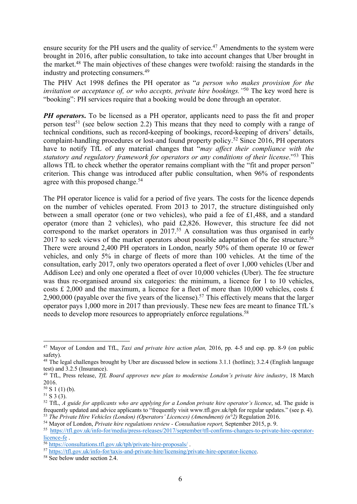ensure security for the PH users and the quality of service.<sup>47</sup> Amendments to the system were brought in 2016, after public consultation, to take into account changes that Uber brought in the market.48 The main objectives of these changes were twofold: raising the standards in the industry and protecting consumers.49

The PHV Act 1998 defines the PH operator as "*a person who makes provision for the invitation or acceptance of, or who accepts, private hire bookings."*<sup>50</sup> The key word here is "booking": PH services require that a booking would be done through an operator.

*PH operators*. To be licensed as a PH operator, applicants need to pass the fit and proper person test<sup>51</sup> (see below section 2.2) This means that they need to comply with a range of technical conditions, such as record-keeping of bookings, record-keeping of drivers' details, complaint-handling procedures or lost-and found property policy.52 Since 2016, PH operators have to notify TfL of any material changes that "*may affect their compliance with the statutory and regulatory framework for operators or any conditions of their license*."53 This allows TfL to check whether the operator remains compliant with the "fit and proper person" criterion. This change was introduced after public consultation, when 96% of respondents agree with this proposed change.<sup>54</sup>

The PH operator licence is valid for a period of five years. The costs for the licence depends on the number of vehicles operated. From 2013 to 2017, the structure distinguished only between a small operator (one or two vehicles), who paid a fee of £1,488, and a standard operator (more than 2 vehicles), who paid £2,826. However, this structure fee did not correspond to the market operators in  $2017<sup>55</sup>$  A consultation was thus organised in early 2017 to seek views of the market operators about possible adaptation of the fee structure.<sup>56</sup> There were around 2,400 PH operators in London, nearly 50% of them operate 10 or fewer vehicles, and only 5% in charge of fleets of more than 100 vehicles. At the time of the consultation, early 2017, only two operators operated a fleet of over 1,000 vehicles (Uber and Addison Lee) and only one operated a fleet of over 10,000 vehicles (Uber). The fee structure was thus re-organised around six categories: the minimum, a licence for 1 to 10 vehicles, costs £ 2,000 and the maximum, a licence for a fleet of more than 10,000 vehicles, costs  $\pounds$ 2,900,000 (payable over the five years of the license).<sup>57</sup> This effectively means that the larger operator pays 1,000 more in 2017 than previously. These new fees are meant to finance TfL's needs to develop more resources to appropriately enforce regulations.<sup>58</sup>

 <sup>47</sup> Mayor of London and TfL, *Taxi and private hire action plan,* 2016, pp. 4-5 and esp. pp. 8-9 (on public safety).

 $48$  The legal challenges brought by Uber are discussed below in sections 3.1.1 (hotline); 3.2.4 (English language test) and 3.2.5 (Insurance).

<sup>&</sup>lt;sup>49</sup> TfL, Press release, *TfL Board approves new plan to modernise London's private hire industry*, 18 March 2016.

 $50$  S 1 (1) (b).

 $51$  S 3 (3).

<sup>&</sup>lt;sup>52</sup> TfL, *A* guide for applicants who are applying for a London private hire operator's licence, sd. The guide is frequently updated and advice applicants to "frequently visit www.tfl.gov.uk/tph for regular updates." (se

<sup>&</sup>lt;sup>53</sup> The Private Hire Vehicles (London) (Operators' Licences) (Amendment) ( $n^{\circ}$ 2) Regulation 2016.<br><sup>54</sup> Mayor of London, Private hire regulations review - Consultation report, September 2015, p. 9.

<sup>55</sup> https://tfl.gov.uk/info-for/media/press-releases/2017/september/tfl-confirms-changes-to-private-hire-operatorlicence-fe .

<sup>56</sup> https://consultations.tfl.gov.uk/tph/private-hire-proposals/ .

<sup>&</sup>lt;sup>57</sup> https://tfl.gov.uk/info-for/taxis-and-private-hire/licensing/private-hire-operator-licence.<br><sup>58</sup> See below under section 2.4.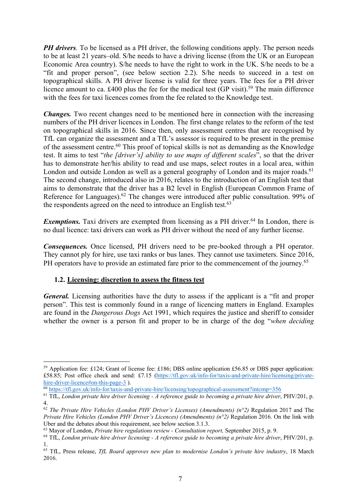*PH drivers*. To be licensed as a PH driver, the following conditions apply. The person needs to be at least 21 years–old. S/he needs to have a driving license (from the UK or an European Economic Area country). S/he needs to have the right to work in the UK. S/he needs to be a "fit and proper person", (see below section 2.2). S/he needs to succeed in a test on topographical skills. A PH driver license is valid for three years. The fees for a PH driver licence amount to ca.  $\text{\pounds}400$  plus the fee for the medical test (GP visit).<sup>59</sup> The main difference with the fees for taxi licences comes from the fee related to the Knowledge test.

*Changes.* Two recent changes need to be mentioned here in connection with the increasing numbers of the PH driver licences in London. The first change relates to the reform of the test on topographical skills in 2016. Since then, only assessment centres that are recognised by TfL can organize the assessment and a TfL's assessor is required to be present in the premise of the assessment centre.<sup>60</sup> This proof of topical skills is not as demanding as the Knowledge test. It aims to test "*the [driver's] ability to use maps of different scales*", so that the driver has to demonstrate her/his ability to read and use maps, select routes in a local area, within London and outside London as well as a general geography of London and its major roads.<sup>61</sup> The second change, introduced also in 2016, relates to the introduction of an English test that aims to demonstrate that the driver has a B2 level in English (European Common Frame of Reference for Languages).<sup>62</sup> The changes were introduced after public consultation. 99% of the respondents agreed on the need to introduce an English test. $63$ 

*Exemptions.* Taxi drivers are exempted from licensing as a PH driver.<sup>64</sup> In London, there is no dual licence: taxi drivers can work as PH driver without the need of any further license.

*Consequences.* Once licensed, PH drivers need to be pre-booked through a PH operator. They cannot ply for hire, use taxi ranks or bus lanes. They cannot use taximeters. Since 2016, PH operators have to provide an estimated fare prior to the commencement of the journey.<sup>65</sup>

# **1.2. Licensing: discretion to assess the fitness test**

*General.* Licensing authorities have the duty to assess if the applicant is a "fit and proper person". This test is commonly found in a range of licencing matters in England. Examples are found in the *Dangerous Dogs* Act 1991, which requires the justice and sheriff to consider whether the owner is a person fit and proper to be in charge of the dog "*when deciding* 

 <sup>59</sup> Application fee: £124; Grant of license fee: £186; DBS online application £56.85 or DBS paper application: £58.85; Post office check and send: £7.15 (https://tfl.gov.uk/info-for/taxis-and-private-hire/licensing/privatehire-driver-licence#on-this-page-3).

<sup>60</sup> https://tfl.gov.uk/info-for/taxis-and-private-hire/licensing/topographical-assessment?intcmp=356

<sup>61</sup> TfL, *London private hire driver licensing - A reference guide to becoming a private hire driver*, PHV/201, p. 4.

<sup>62</sup> *The Private Hire Vehicles (London PHV Driver's Licenses) (Amendments) (n°2)* Regulation 2017 and The *Private Hire Vehicles (London PHV Driver's Licences) (Amendments) (n°2)* Regulation 2016. On the link with Uber and the debates about this requirement, see below section 3.1.3.

<sup>63</sup> Mayor of London, *Private hire regulations review - Consultation report,* September 2015, p. 9.

<sup>64</sup> TfL, *London private hire driver licensing - A reference guide to becoming a private hire driver*, PHV/201, p. 1.

<sup>65</sup> TfL, Press release, *TfL Board approves new plan to modernise London's private hire industry*, 18 March 2016.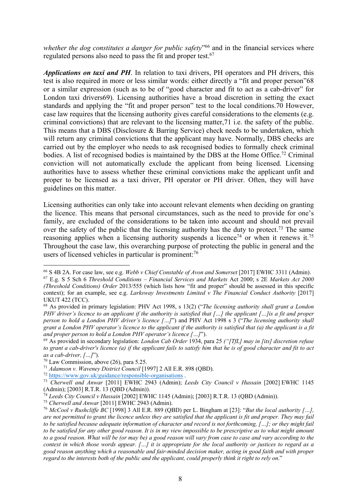*whether the dog constitutes a danger for public safety*<sup>"66</sup> and in the financial services where regulated persons also need to pass the fit and proper test.<sup>67</sup>

*Applications on taxi and PH*. In relation to taxi drivers, PH operators and PH drivers, this test is also required in more or less similar words: either directly a "fit and proper person"68 or a similar expression (such as to be of "good character and fit to act as a cab-driver" for London taxi drivers69). Licensing authorities have a broad discretion in setting the exact standards and applying the "fit and proper person" test to the local conditions.70 However, case law requires that the licensing authority gives careful considerations to the elements (e.g. criminal convictions) that are relevant to the licensing matter,71 i.e. the safety of the public. This means that a DBS (Disclosure & Barring Service) check needs to be undertaken, which will return any criminal convictions that the applicant may have. Normally, DBS checks are carried out by the employer who needs to ask recognised bodies to formally check criminal bodies. A list of recognised bodies is maintained by the DBS at the Home Office.<sup>72</sup> Criminal conviction will not automatically exclude the applicant from being licensed. Licensing authorities have to assess whether these criminal convictions make the applicant unfit and proper to be licensed as a taxi driver, PH operator or PH driver. Often, they will have guidelines on this matter.

Licensing authorities can only take into account relevant elements when deciding on granting the licence. This means that personal circumstances, such as the need to provide for one's family, are excluded of the considerations to be taken into account and should not prevail over the safety of the public that the licensing authority has the duty to protect.<sup>73</sup> The same reasoning applies when a licensing authority suspends a licence<sup>74</sup> or when it renews it.<sup>75</sup> Throughout the case law, this overarching purpose of protecting the public in general and the users of licensed vehicles in particular is prominent:<sup>76</sup>

 <sup>66</sup> <sup>S</sup> 4B 2A. For case law, see e.g. *Webb v Chief Constable of Avon and Somerset* [2017] EWHC 3311 (Admin).

<sup>67</sup> E.g. S 5 Sch 6 *Threshold Conditions – Financial Services and Markets* Act 2000; s 2E *Markets Act 2000 (Threshold Conditions) Order* 2013/555 (which lists how "fit and proper" should be assessed in this specific context); for an example, see e.g. *Larksway Investments Limited v The Financial Conduct Authority* [2017] UKUT 422 (TCC).

<sup>68</sup> As provided in primary legislation: PHV Act 1998, s 13(2) ("*The licensing authority shall grant a London PHV driver's licence to an applicant if the authority is satisfied that […] the applicant […]is a fit and proper person to hold a London PHV driver's licence […]*") and PHV Act 1998 s 3 ("*The licensing authority shall grant a London PHV operator's licence to the applicant if the authority is satisfied that (a) the applicant is a fit* 

*and proper person to hold a London PHV operator's licence […]*"). 69 As provided in secondary legislation: *London Cab Order* 1934, para 25 *("[TfL] may in [its] discretion refuse to grant a cab-driver's licence (a) if the applicant fails to satisfy him that he is of good character and fit to act as a cab-driver, […]*").

<sup>70</sup> Law Commission, above (26), para 5.25.

<sup>71</sup> *Adamson v. Waveney District Council* [1997] 2 All E.R. 898 (QBD).

<sup>72</sup> https://www.gov.uk/guidance/responsible-organisations .

<sup>73</sup> *Cherwell and Anwar* [2011] EWHC 2943 (Admin); *Leeds City Council v Hussain* [2002] EWHC 1145 (Admin); [2003] R.T.R. 13 (QBD (Admin)).

<sup>74</sup> *Leeds City Council v Hussain* [2002] EWHC 1145 (Admin); [2003] R.T.R. 13 (QBD (Admin)).

<sup>75</sup> *Cherwell and Anwar* [2011] EWHC 2943 (Admin).

<sup>76</sup> *McCool v Rushcliffe BC* [1998] 3 All E.R. 889 (QBD) per L. Bingham at [23]: "*But the local authority […], are not permitted to grant the licence unless they are satisfied that the applicant is fit and proper. They may fail to be satisfied because adequate information of character and record is not forthcoming, […]; or they might fail*  to be satisfied for any other good reason. It is in my view impossible to be prescriptive as to what might amount *to a good reason. What will be (or may be) a good reason will vary from case to case and vary according to the context in which those words appear. […] it is appropriate for the local authority or justices to regard as a good reason anything which a reasonable and fair-minded decision maker, acting in good faith and with proper regard to the interests both of the public and the applicant, could properly think it right to rely on*."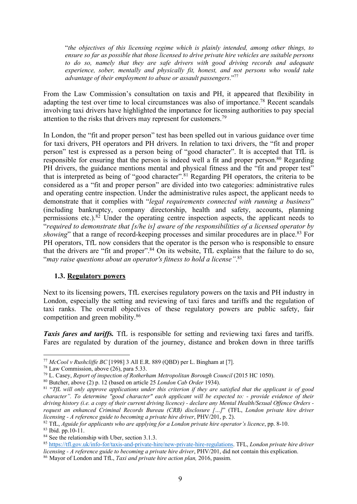"*the objectives of this licensing regime which is plainly intended, among other things, to ensure so far as possible that those licensed to drive private hire vehicles are suitable persons to do so, namely that they are safe drivers with good driving records and adequate experience, sober, mentally and physically fit, honest, and not persons who would take advantage of their employment to abuse or assault passengers*."77

From the Law Commission's consultation on taxis and PH, it appeared that flexibility in adapting the test over time to local circumstances was also of importance.<sup>78</sup> Recent scandals involving taxi drivers have highlighted the importance for licensing authorities to pay special attention to the risks that drivers may represent for customers.<sup>79</sup>

In London, the "fit and proper person" test has been spelled out in various guidance over time for taxi drivers, PH operators and PH drivers. In relation to taxi drivers, the "fit and proper person" test is expressed as a person being of "good character". It is accepted that TfL is responsible for ensuring that the person is indeed well a fit and proper person.<sup>80</sup> Regarding PH drivers, the guidance mentions mental and physical fitness and the "fit and proper test" that is interpreted as being of "good character".81 Regarding PH operators, the criteria to be considered as a "fit and proper person" are divided into two categories: administrative rules and operating centre inspection. Under the administrative rules aspect, the applicant needs to demonstrate that it complies with "*legal requirements connected with running a business*" (including bankruptcy, company directorship, health and safety, accounts, planning permissions etc.). $82$  Under the operating centre inspection aspects, the applicant needs to "*required to demonstrate that [s/he is] aware of the responsibilities of a licensed operator by showing*" that a range of record-keeping processes and similar procedures are in place.<sup>83</sup> For PH operators, TfL now considers that the operator is the person who is responsible to ensure that the drivers are "fit and proper".<sup>84</sup> On its website, TfL explains that the failure to do so, "*may raise questions about an operator's fitness to hold a license"*. 85

### **1.3. Regulatory powers**

Next to its licensing powers, TfL exercises regulatory powers on the taxis and PH industry in London, especially the setting and reviewing of taxi fares and tariffs and the regulation of taxi ranks. The overall objectives of these regulatory powers are public safety, fair competition and green mobility.86

*Taxis fares and tariffs.* TfL is responsible for setting and reviewing taxi fares and tariffs. Fares are regulated by duration of the journey, distance and broken down in three tariffs

 <sup>77</sup> *McCool v Rushcliffe BC* [1998] 3 All E.R. 889 (QBD) per L. Bingham at [7].

 $78$  Law Commission, above (26), para 5.33.

<sup>79</sup> L. Casey, *Report of inspection of Rotherham Metropolitan Borough Council* (2015 HC 1050).

<sup>80</sup> Butcher, above (2) p. 12 (based on article 25 *London Cab Order* 1934).

<sup>81</sup> "*TfL will only approve applications under this criterion if they are satisfied that the applicant is of good character". To determine "good character" each applicant will be expected to: - provide evidence of their driving history (i.e. a copy of their current driving licence) - declare any Mental Health/Sexual Offence Orders request an enhanced Criminal Records Bureau (CRB) disclosure […]*" (TFL, *London private hire driver licensing - A reference guide to becoming a private hire driver*, PHV/201, p. 2).

<sup>82</sup> TfL, *Aguide for applicants who are applying for a London private hire operator's licence*, pp. 8-10.

 $83$  Ibid. pp. 10-11.

<sup>&</sup>lt;sup>84</sup> See the relationship with Uber, section 3.1.3.

<sup>85</sup> https://tfl.gov.uk/info-for/taxis-and-private-hire/new-private-hire-regulations. TFL, *London private hire driver licensing - A reference guide to becoming a private hire driver*, PHV/201, did not contain this explication.

<sup>86</sup> Mayor of London and TfL, *Taxi and private hire action plan,* 2016, passim.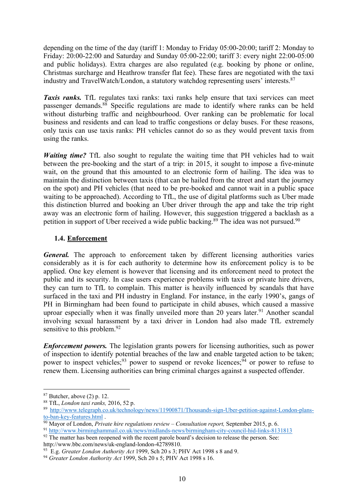depending on the time of the day (tariff 1: Monday to Friday 05:00-20:00; tariff 2: Monday to Friday: 20:00-22:00 and Saturday and Sunday 05:00-22:00; tariff 3: every night 22:00-05:00 and public holidays). Extra charges are also regulated (e.g. booking by phone or online, Christmas surcharge and Heathrow transfer flat fee). These fares are negotiated with the taxi industry and TravelWatch/London, a statutory watchdog representing users' interests.87

*Taxis ranks.* TfL regulates taxi ranks: taxi ranks help ensure that taxi services can meet passenger demands. <sup>88</sup> Specific regulations are made to identify where ranks can be held without disturbing traffic and neighbourhood. Over ranking can be problematic for local business and residents and can lead to traffic congestions or delay buses. For these reasons, only taxis can use taxis ranks: PH vehicles cannot do so as they would prevent taxis from using the ranks.

*Waiting time?* TfL also sought to regulate the waiting time that PH vehicles had to wait between the pre-booking and the start of a trip: in 2015, it sought to impose a five-minute wait, on the ground that this amounted to an electronic form of hailing. The idea was to maintain the distinction between taxis (that can be hailed from the street and start the journey on the spot) and PH vehicles (that need to be pre-booked and cannot wait in a public space waiting to be approached). According to TfL, the use of digital platforms such as Uber made this distinction blurred and booking an Uber driver through the app and take the trip right away was an electronic form of hailing. However, this suggestion triggered a backlash as a petition in support of Uber received a wide public backing.<sup>89</sup> The idea was not pursued.<sup>90</sup>

# **1.4. Enforcement**

*General.* The approach to enforcement taken by different licensing authorities varies considerably as it is for each authority to determine how its enforcement policy is to be applied. One key element is however that licensing and its enforcement need to protect the public and its security. In case users experience problems with taxis or private hire drivers, they can turn to TfL to complain. This matter is heavily influenced by scandals that have surfaced in the taxi and PH industry in England. For instance, in the early 1990's, gangs of PH in Birmingham had been found to participate in child abuses, which caused a massive uproar especially when it was finally unveiled more than 20 years later.<sup>91</sup> Another scandal involving sexual harassment by a taxi driver in London had also made TfL extremely sensitive to this problem.<sup>92</sup>

*Enforcement powers.* The legislation grants powers for licensing authorities, such as power of inspection to identify potential breaches of the law and enable targeted action to be taken; power to inspect vehicles;<sup>93</sup> power to suspend or revoke licences;<sup>94</sup> or power to refuse to renew them. Licensing authorities can bring criminal charges against a suspected offender.

 $87$  Butcher, above (2) p. 12.

<sup>88</sup> TfL, *London taxi ranks,* 2016, 52 p.

<sup>89</sup> http://www.telegraph.co.uk/technology/news/11900871/Thousands-sign-Uber-petition-against-London-plansto-ban-key-features.html .

<sup>90</sup> Mayor of London, *Private hire regulations review – Consultation report,* September 2015, p. 6.

<sup>91</sup> http://www.birminghammail.co.uk/news/midlands-news/birmingham-city-council-hid-links-8131813 <sup>92</sup> The matter has been reopened with the recent parole board's decision to release the person. See:

http://www.bbc.com/news/uk-england-london-42789810.

<sup>93</sup> E.g. *Greater London Authority Act* 1999, Sch 20 s 3; PHV Act 1998 s 8 and 9.

<sup>94</sup> *Greater London Authority Act* 1999, Sch 20 s 5; PHV Act 1998 s 16.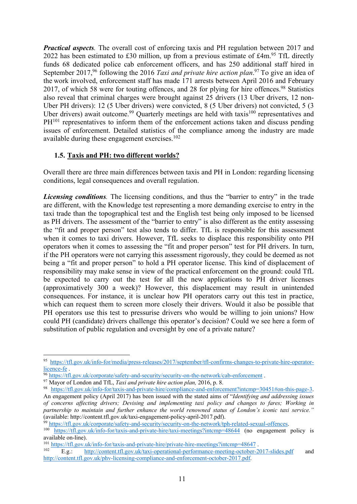*Practical aspects.* The overall cost of enforcing taxis and PH regulation between 2017 and 2022 has been estimated to £30 million, up from a previous estimate of  $\text{\pounds}4m$ .<sup>95</sup> TfL directly funds 68 dedicated police cab enforcement officers, and has 250 additional staff hired in September 2017,<sup>96</sup> following the 2016 *Taxi and private hire action plan*.<sup>97</sup> To give an idea of the work involved, enforcement staff has made 171 arrests between April 2016 and February 2017, of which 58 were for touting offences, and 28 for plying for hire offences.<sup>98</sup> Statistics also reveal that criminal charges were brought against 25 drivers (13 Uber drivers, 12 non-Uber PH drivers): 12 (5 Uber drivers) were convicted, 8 (5 Uber drivers) not convicted, 5 (3 Uber drivers) await outcome.<sup>99</sup> Quarterly meetings are held with taxis<sup>100</sup> representatives and PH<sup>101</sup> representatives to inform them of the enforcement actions taken and discuss pending issues of enforcement. Detailed statistics of the compliance among the industry are made available during these engagement exercises. $102$ 

# **1.5. Taxis and PH: two different worlds?**

Overall there are three main differences between taxis and PH in London: regarding licensing conditions, legal consequences and overall regulation.

*Licensing conditions.* The licensing conditions, and thus the "barrier to entry" in the trade are different, with the Knowledge test representing a more demanding exercise to entry in the taxi trade than the topographical test and the English test being only imposed to be licensed as PH drivers. The assessment of the "barrier to entry" is also different as the entity assessing the "fit and proper person" test also tends to differ. TfL is responsible for this assessment when it comes to taxi drivers. However, TfL seeks to displace this responsibility onto PH operators when it comes to assessing the "fit and proper person" test for PH drivers. In turn, if the PH operators were not carrying this assessment rigorously, they could be deemed as not being a "fit and proper person" to hold a PH operator license. This kind of displacement of responsibility may make sense in view of the practical enforcement on the ground: could TfL be expected to carry out the test for all the new applications to PH driver licenses (approximatively 300 a week)? However, this displacement may result in unintended consequences. For instance, it is unclear how PH operators carry out this test in practice, which can request them to screen more closely their drivers. Would it also be possible that PH operators use this test to pressurise drivers who would be willing to join unions? How could PH (candidate) drivers challenge this operator's decision? Could we see here a form of substitution of public regulation and oversight by one of a private nature?

<sup>95</sup> https://tfl.gov.uk/info-for/media/press-releases/2017/september/tfl-confirms-changes-to-private-hire-operatorlicence-fe .

<sup>&</sup>lt;sup>96</sup> https://tfl.gov.uk/corporate/safety-and-security/security-on-the-network/cab-enforcement.

<sup>97</sup> Mayor of London and TfL, *Taxi and private hire action plan,* 2016, p. 8.

<sup>98</sup> https://tfl.gov.uk/info-for/taxis-and-private-hire/compliance-and-enforcement?intcmp=30451#on-this-page-3.

An engagement policy (April 2017) has been issued with the stated aims of "*Identifying and addressing issues of concerns affecting drivers; Devising and implementing taxi policy and changes to fares; Working in partnership to maintain and further enhance the world renowned status of London's iconic taxi service."* (available: http://content.tfl.gov.uk/taxi-engagement-policy-april-2017.pdf).

 $\frac{100 \text{ https://tfl.gov.uk/info-for/taxis-and-private-hire/taxi-meetings?intcmp=48644}{}$  (no engagement policy is available on-line).

 $\frac{101 \text{ https://tfl.gov.uk/info-for/taxis-and-private-hire/private-hire-meetings?intemp=48647}{\text{Rg}}$ 

E.g.: http://content.tfl.gov.uk/taxi-operational-performance-meeting-october-2017-slides.pdf and http://content.tfl.gov.uk/phv-licensing-compliance-and-enforcement-october-2017.pdf.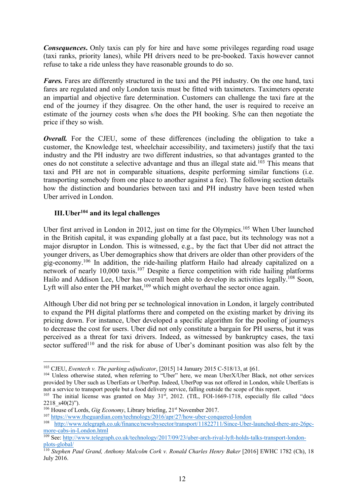*Consequences*. Only taxis can ply for hire and have some privileges regarding road usage (taxi ranks, priority lanes), while PH drivers need to be pre-booked. Taxis however cannot refuse to take a ride unless they have reasonable grounds to do so.

*Fares.* Fares are differently structured in the taxi and the PH industry. On the one hand, taxi fares are regulated and only London taxis must be fitted with taximeters. Taximeters operate an impartial and objective fare determination. Customers can challenge the taxi fare at the end of the journey if they disagree. On the other hand, the user is required to receive an estimate of the journey costs when s/he does the PH booking. S/he can then negotiate the price if they so wish.

*Overall.* For the CJEU, some of these differences (including the obligation to take a customer, the Knowledge test, wheelchair accessibility, and taximeters) justify that the taxi industry and the PH industry are two different industries, so that advantages granted to the ones do not constitute a selective advantage and thus an illegal state aid.103 This means that taxi and PH are not in comparable situations, despite performing similar functions (i.e. transporting somebody from one place to another against a fee). The following section details how the distinction and boundaries between taxi and PH industry have been tested when Uber arrived in London.

# **III.Uber104 and its legal challenges**

Uber first arrived in London in 2012, just on time for the Olympics.<sup>105</sup> When Uber launched in the British capital, it was expanding globally at a fast pace, but its technology was not a major disruptor in London. This is witnessed, e.g., by the fact that Uber did not attract the younger drivers, as Uber demographics show that drivers are older than other providers of the gig-economy. <sup>106</sup> In addition, the ride-hailing platform Hailo had already capitalized on a network of nearly 10,000 taxis.<sup>107</sup> Despite a fierce competition with ride hailing platforms Hailo and Addison Lee, Uber has overall been able to develop its activities legally.<sup>108</sup> Soon, Lyft will also enter the PH market,  $109$  which might overhaul the sector once again.

Although Uber did not bring per se technological innovation in London, it largely contributed to expand the PH digital platforms there and competed on the existing market by driving its pricing down. For instance, Uber developed a specific algorithm for the pooling of journeys to decrease the cost for users. Uber did not only constitute a bargain for PH userss, but it was perceived as a threat for taxi drivers. Indeed, as witnessed by bankruptcy cases, the taxi sector suffered<sup>110</sup> and the risk for abuse of Uber's dominant position was also felt by the

 <sup>103</sup> CJEU, *Eventech v. The parking adjudicator*, [2015] 14 January 2015 C-518/13, at §61.

<sup>&</sup>lt;sup>104</sup> Unless otherwise stated, when referring to "Uber" here, we mean UberX/Uber Black, not other services provided by Uber such as UberEats or UberPop. Indeed, UberPop was not offered in London, while UberEats is

not a service to transport people but a food delivery service, falling outside the scope of this report.<br><sup>105</sup> The initial license was granted on May 31<sup>st</sup>, 2012. (TfL, FOI-1669-1718, especially file called "docs 2218  $s40(2)$ ").

<sup>&</sup>lt;sup>106</sup> House of Lords, *Gig Economy*, Library briefing, 21<sup>st</sup> November 2017.

<sup>107</sup> https://www.theguardian.com/technology/2016/apr/27/how-uber-conquered-london

<sup>108</sup> http://www.telegraph.co.uk/finance/newsbysector/transport/11822711/Since-Uber-launched-there-are-26pcmore-cabs-in-London.html

<sup>109</sup> See: http://www.telegraph.co.uk/technology/2017/09/23/uber-arch-rival-lyft-holds-talks-transport-londonplots-global/

<sup>110</sup> *Stephen Paul Grand, Anthony Malcolm Cork v. Ronald Charles Henry Baker* [2016] EWHC 1782 (Ch), 18 July 2016.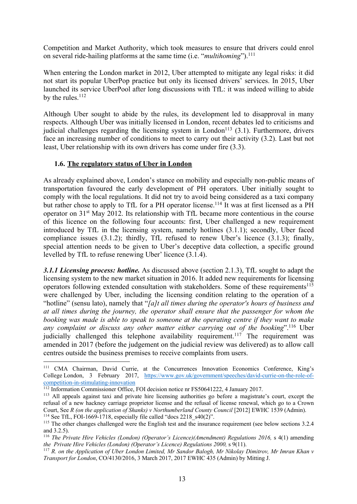Competition and Market Authority, which took measures to ensure that drivers could enrol on several ride-hailing platforms at the same time (i.e. "*multihoming*"). 111

When entering the London market in 2012, Uber attempted to mitigate any legal risks: it did not start its popular UberPop practice but only its licensed drivers' services. In 2015, Uber launched its service UberPool after long discussions with TfL: it was indeed willing to abide by the rules.<sup>112</sup>

Although Uber sought to abide by the rules, its development led to disapproval in many respects. Although Uber was initially licensed in London, recent debates led to criticisms and judicial challenges regarding the licensing system in London<sup>113</sup> (3.1). Furthermore, drivers face an increasing number of conditions to meet to carry out their activity (3.2). Last but not least, Uber relationship with its own drivers has come under fire (3.3).

## **1.6. The regulatory status of Uber in London**

As already explained above, London's stance on mobility and especially non-public means of transportation favoured the early development of PH operators. Uber initially sought to comply with the local regulations. It did not try to avoid being considered as a taxi company but rather chose to apply to TfL for a PH operator license.<sup>114</sup> It was at first licensed as a PH operator on 31st May 2012. Its relationship with TfL became more contentious in the course of this licence on the following four accounts: first, Uber challenged a new requirement introduced by TfL in the licensing system, namely hotlines (3.1.1); secondly, Uber faced compliance issues (3.1.2); thirdly, TfL refused to renew Uber's licence (3.1.3); finally, special attention needs to be given to Uber's deceptive data collection, a specific ground levelled by TfL to refuse renewing Uber' licence (3.1.4).

*3.1.1 Licensing process: hotline.* As discussed above (section 2.1.3), TfL sought to adapt the licensing system to the new market situation in 2016. It added new requirements for licensing operators following extended consultation with stakeholders. Some of these requirements<sup>115</sup> were challenged by Uber, including the licensing condition relating to the operation of a "hotline" (sensu lato), namely that "*[a]t all times during the operator's hours of business and at all times during the journey, the operator shall ensure that the passenger for whom the booking was made is able to speak to someone at the operating centre if they want to make*  any complaint or discuss any other matter either carrying out of the booking".<sup>116</sup> Uber judicially challenged this telephone availability requirement.<sup>117</sup> The requirement was amended in 2017 (before the judgement on the judicial review was delivered) as to allow call centres outside the business premises to receive complaints from users.

 <sup>111</sup> CMA Chairman, David Currie, at the Concurrences Innovation Economics Conference, King's College London, 3 February 2017, https://www.gov.uk/government/speeches/david-currie-on-the-role-ofcompetition-in-stimulating-innovation<br><sup>112</sup> Information Commissioner Office, FOI decision notice nr FS50641222, 4 January 2017.

<sup>&</sup>lt;sup>113</sup> All appeals against taxi and private hire licensing authorities go before a magistrate's court, except the refusal of a new hackney carriage proprietor license and the refusal of license renewal, which go to a Crown Court, See *R* (on the application of Shanks) v Northumberland County Council [2012] EWHC 1539 (Admin). <sup>114</sup> See TfL, FOI-1669-1718, especially file called "docs 2218 s40(2)".

<sup>&</sup>lt;sup>115</sup> The other changes challenged were the English test and the insurance requirement (see below sections 3.2.4 and 3.2.5).

<sup>116</sup> *The Private Hire Vehicles (London) (Operator's Licence)(Amendment) Regulations 2016,* s 4(1) amending *the Private Hire Vehicles (London) (Operator's Licence) Regulations 2000,* s 9(11).

<sup>117</sup> *R. on the Application of Uber London Limited, Mr Sandor Balogh, Mr Nikolay Dimitrov, Mr Imran Khan v Transport for London*, CO/4130/2016, 3 March 2017, 2017 EWHC 435 (Admin) by Mitting J.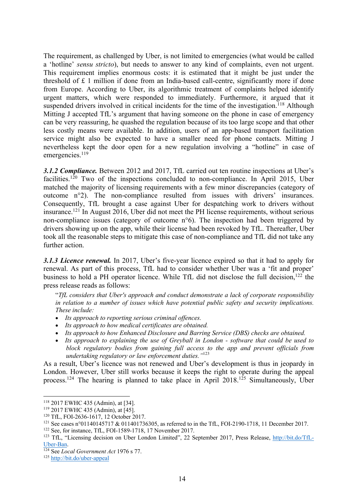The requirement, as challenged by Uber, is not limited to emergencies (what would be called a 'hotline' *sensu stricto*), but needs to answer to any kind of complaints, even not urgent. This requirement implies enormous costs: it is estimated that it might be just under the threshold of  $\pounds$  1 million if done from an India-based call-centre, significantly more if done from Europe. According to Uber, its algorithmic treatment of complaints helped identify urgent matters, which were responded to immediately. Furthermore, it argued that it suspended drivers involved in critical incidents for the time of the investigation.<sup>118</sup> Although Mitting J accepted TfL's argument that having someone on the phone in case of emergency can be very reassuring, he quashed the regulation because of its too large scope and that other less costly means were available. In addition, users of an app-based transport facilitation service might also be expected to have a smaller need for phone contacts. Mitting J nevertheless kept the door open for a new regulation involving a "hotline" in case of emergencies. 119

*3.1.2 Compliance.* Between 2012 and 2017, TfL carried out ten routine inspections at Uber's facilities.<sup>120</sup> Two of the inspections concluded to non-compliance. In April 2015, Uber matched the majority of licensing requirements with a few minor discrepancies (category of outcome n°2). The non-compliance resulted from issues with drivers' insurances. Consequently, TfL brought a case against Uber for despatching work to drivers without insurance. <sup>121</sup> In August 2016, Uber did not meet the PH license requirements, without serious non-compliance issues (category of outcome n°6). The inspection had been triggered by drivers showing up on the app, while their license had been revoked by TfL. Thereafter, Uber took all the reasonable steps to mitigate this case of non-compliance and TfL did not take any further action.

*3.1.3 Licence renewal.* In 2017, Uber's five-year licence expired so that it had to apply for renewal. As part of this process, TfL had to consider whether Uber was a 'fit and proper' business to hold a PH operator licence. While TfL did not disclose the full decision,<sup>122</sup> the press release reads as follows:

"*TfL considers that Uber's approach and conduct demonstrate a lack of corporate responsibility in relation to a number of issues which have potential public safety and security implications. These include:*

- *Its approach to reporting serious criminal offences.*
- *Its approach to how medical certificates are obtained.*
- *Its approach to how Enhanced Disclosure and Barring Service (DBS) checks are obtained.*
- *Its approach to explaining the use of Greyball in London - software that could be used to block regulatory bodies from gaining full access to the app and prevent officials from undertaking regulatory or law enforcement duties."*<sup>123</sup>

As a result, Uber's licence was not renewed and Uber's development is thus in jeopardy in London. However, Uber still works because it keeps the right to operate during the appeal process.<sup>124</sup> The hearing is planned to take place in April 2018.<sup>125</sup> Simultaneously, Uber

 <sup>118</sup> 2017 EWHC 435 (Admin), at [34].

<sup>119</sup> 2017 EWHC 435 (Admin), at [45].

<sup>&</sup>lt;sup>120</sup> TfL, FOI-2636-1617, 12 October 2017.<br><sup>121</sup> See cases n°01140145717 & 011401736305, as referred to in the TfL, FOI-2190-1718, 11 December 2017.

<sup>&</sup>lt;sup>122</sup> See, for instance, TfL, FOI-1589-1718, 17 November 2017.<br><sup>123</sup> TfL, "Licensing decision on Uber London Limited", 22 September 2017, Press Release, http://bit.do/TfL-Uber-Ban. 124 See *Local Government Act* 1976 s 77.

<sup>125</sup> http://bit.do/uber-appeal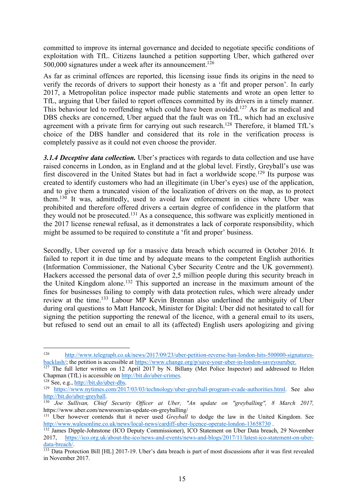committed to improve its internal governance and decided to negotiate specific conditions of exploitation with TfL. Citizens launched a petition supporting Uber, which gathered over 500,000 signatures under a week after its announcement.<sup>126</sup>

As far as criminal offences are reported, this licensing issue finds its origins in the need to verify the records of drivers to support their honesty as a 'fit and proper person'. In early 2017, a Metropolitan police inspector made public statements and wrote an open letter to TfL, arguing that Uber failed to report offences committed by its drivers in a timely manner. This behaviour led to reoffending which could have been avoided.<sup>127</sup> As far as medical and DBS checks are concerned, Uber argued that the fault was on TfL, which had an exclusive agreement with a private firm for carrying out such research.<sup>128</sup> Therefore, it blamed TfL's choice of the DBS handler and considered that its role in the verification process is completely passive as it could not even choose the provider.

*3.1.4 Deceptive data collection.* Uber's practices with regards to data collection and use have raised concerns in London, as in England and at the global level. Firstly, Greyball's use was first discovered in the United States but had in fact a worldwide scope.<sup>129</sup> Its purpose was created to identify customers who had an illegitimate (in Uber's eyes) use of the application, and to give them a truncated vision of the localization of drivers on the map, as to protect them. <sup>130</sup> It was, admittedly, used to avoid law enforcement in cities where Uber was prohibited and therefore offered drivers a certain degree of confidence in the platform that they would not be prosecuted.<sup>131</sup> As a consequence, this software was explicitly mentioned in the 2017 license renewal refusal, as it demonstrates a lack of corporate responsibility, which might be assumed to be required to constitute a 'fit and proper' business.

Secondly, Uber covered up for a massive data breach which occurred in October 2016. It failed to report it in due time and by adequate means to the competent English authorities (Information Commissioner, the National Cyber Security Centre and the UK government). Hackers accessed the personal data of over 2,5 million people during this security breach in the United Kingdom alone. <sup>132</sup> This supported an increase in the maximum amount of the fines for businesses failing to comply with data protection rules, which were already under review at the time.<sup>133</sup> Labour MP Kevin Brennan also underlined the ambiguity of Uber during oral questions to Matt Hancock, Minister for Digital: Uber did not hesitated to call for signing the petition supporting the renewal of the licence, with a general email to its users, but refused to send out an email to all its (affected) English users apologizing and giving

<sup>&</sup>lt;sup>126</sup> http://www.telegraph.co.uk/news/2017/09/23/uber-petition-reverse-ban-london-hits-500000-signatures-<br>backlash/; the petition is accessible at https://www.change.org/p/save-your-uber-in-london-saveyouruber.

<sup>&</sup>lt;sup>127</sup> The full letter written on 12 April 2017 by N. Billany (Met Police Inspector) and addressed to Helen Chapman (TfL) is accessible on http://bit.do/uber-crimes. 128 See, e.g., http://bit.do/uber-dbs.

<sup>129</sup> https://www.nytimes.com/2017/03/03/technology/uber-greyball-program-evade-authorities.html. See also http://bit.do/uber-greyball.

<sup>130</sup> *Joe Sullivan, Chief Security Officer at Uber, "An update on "greyballing", 8 March 2017,*  https://www.uber.com/newsroom/an-update-on-greyballing/

<sup>&</sup>lt;sup>131</sup> Uber however contends that it never used *Greyball* to dodge the law in the United Kingdom. See http://www.walesonline.co.uk/news/local-news/cardiff-uber-licence-operate-london-13658730 .

<sup>&</sup>lt;sup>132</sup> James Dipple-Johnstone (ICO Deputy Commissioner), ICO Statement on Uber Data breach, 29 November 2017, https://ico.org.uk/about-the-ico/news-and-events/news-and-blogs/2017/11/latest-ico-statement-on-uberdata-breach/.<br><sup>133</sup> Data Protection Bill [HL] 2017-19. Uber's data breach is part of most discussions after it was first revealed

in November 2017.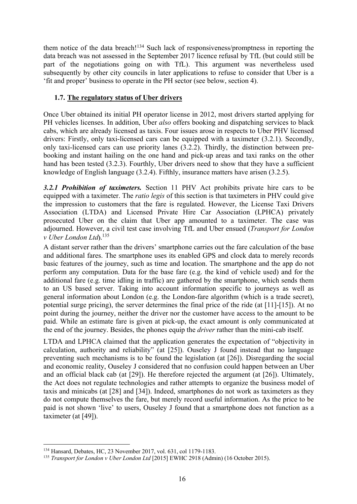them notice of the data breach!<sup>134</sup> Such lack of responsiveness/promptness in reporting the data breach was not assessed in the September 2017 licence refusal by TfL (but could still be part of the negotiations going on with TfL). This argument was nevertheless used subsequently by other city councils in later applications to refuse to consider that Uber is a 'fit and proper' business to operate in the PH sector (see below, section 4).

## **1.7. The regulatory status of Uber drivers**

Once Uber obtained its initial PH operator license in 2012, most drivers started applying for PH vehicles licenses. In addition, Uber *also* offers booking and dispatching services to black cabs, which are already licensed as taxis. Four issues arose in respects to Uber PHV licensed drivers: Firstly, only taxi-licensed cars can be equipped with a taximeter (3.2.1). Secondly, only taxi-licensed cars can use priority lanes (3.2.2). Thirdly, the distinction between prebooking and instant hailing on the one hand and pick-up areas and taxi ranks on the other hand has been tested (3.2.3). Fourthly, Uber drivers need to show that they have a sufficient knowledge of English language (3.2.4). Fifthly, insurance matters have arisen (3.2.5).

*3.2.1 Prohibition of taximeters.* Section 11 PHV Act prohibits private hire cars to be equipped with a taximeter. The *ratio legis* of this section is that taximeters in PHV could give the impression to customers that the fare is regulated. However, the License Taxi Drivers Association (LTDA) and Licensed Private Hire Car Association (LPHCA) privately prosecuted Uber on the claim that Uber app amounted to a taximeter. The case was adjourned. However, a civil test case involving TfL and Uber ensued (*Transport for London v Uber London Ltd***)**. 135

A distant server rather than the drivers' smartphone carries out the fare calculation of the base and additional fares. The smartphone uses its enabled GPS and clock data to merely records basic features of the journey, such as time and location. The smartphone and the app do not perform any computation. Data for the base fare (e.g. the kind of vehicle used) and for the additional fare (e.g. time idling in traffic) are gathered by the smartphone, which sends them to an US based server. Taking into account information specific to journeys as well as general information about London (e.g. the London-fare algorithm (which is a trade secret), potential surge pricing), the server determines the final price of the ride (at [11]-[15]). At no point during the journey, neither the driver nor the customer have access to the amount to be paid. While an estimate fare is given at pick-up, the exact amount is only communicated at the end of the journey. Besides, the phones equip the *driver* rather than the mini-cab itself.

LTDA and LPHCA claimed that the application generates the expectation of "objectivity in calculation, authority and reliability" (at [25]). Ouseley J found instead that no language preventing such mechanisms is to be found the legislation (at [26]). Disregarding the social and economic reality, Ouseley J considered that no confusion could happen between an Uber and an official black cab (at [29]). He therefore rejected the argument (at [26]). Ultimately, the Act does not regulate technologies and rather attempts to organize the business model of taxis and minicabs (at [28] and [34]). Indeed, smartphones do not work as taximeters as they do not compute themselves the fare, but merely record useful information. As the price to be paid is not shown 'live' to users, Ouseley J found that a smartphone does not function as a taximeter (at [49]).

<sup>&</sup>lt;sup>134</sup> Hansard, Debates, HC, 23 November 2017, vol. 631, col 1179-1183.<br><sup>135</sup> *Transport for London v Uber London Ltd* [2015] EWHC 2918 (Admin) (16 October 2015).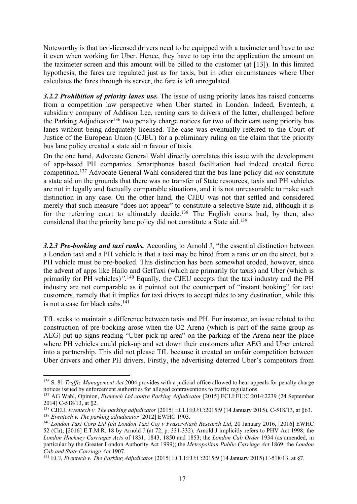Noteworthy is that taxi-licensed drivers need to be equipped with a taximeter and have to use it even when working for Uber. Hence, they have to tap into the application the amount on the taximeter screen and this amount will be billed to the customer (at [13]). In this limited hypothesis, the fares are regulated just as for taxis, but in other circumstances where Uber calculates the fares through its server, the fare is left unregulated.

*3.2.2 Prohibition of priority lanes use.* The issue of using priority lanes has raised concerns from a competition law perspective when Uber started in London. Indeed, Eventech, a subsidiary company of Addison Lee, renting cars to drivers of the latter, challenged before the Parking Adjudicator<sup>136</sup> two penalty charge notices for two of their cars using priority bus lanes without being adequately licensed. The case was eventually referred to the Court of Justice of the European Union (CJEU) for a preliminary ruling on the claim that the priority bus lane policy created a state aid in favour of taxis*.*

On the one hand, Advocate General Wahl directly correlates this issue with the development of app-based PH companies. Smartphones based facilitation had indeed created fierce competition. <sup>137</sup> Advocate General Wahl considered that the bus lane policy did *not* constitute a state aid on the grounds that there was no transfer of State resources, taxis and PH vehicles are not in legally and factually comparable situations, and it is not unreasonable to make such distinction in any case. On the other hand, the CJEU was not that settled and considered merely that such measure "does not appear" to constitute a selective State aid, although it is for the referring court to ultimately decide.<sup>138</sup> The English courts had, by then, also considered that the priority lane policy did not constitute a State aid.<sup>139</sup>

*3.2.3 Pre-booking and taxi ranks.* According to Arnold J, "the essential distinction between a London taxi and a PH vehicle is that a taxi may be hired from a rank or on the street, but a PH vehicle must be pre-booked. This distinction has been somewhat eroded, however, since the advent of apps like Hailo and GetTaxi (which are primarily for taxis) and Uber (which is primarily for PH vehicles)*".* <sup>140</sup> Equally, the CJEU accepts that the taxi industry and the PH industry are not comparable as it pointed out the counterpart of "instant booking" for taxi customers, namely that it implies for taxi drivers to accept rides to any destination, while this is not a case for black cabs. $141$ 

TfL seeks to maintain a difference between taxis and PH. For instance, an issue related to the construction of pre-booking arose when the O2 Arena (which is part of the same group as AEG) put up signs reading "Uber pick-up area" on the parking of the Arena near the place where PH vehicles could pick-up and set down their customers after AEG and Uber entered into a partnership. This did not please TfL because it created an unfair competition between Uber drivers and other PH drivers. Firstly, the advertising deterred Uber's competitors from

 <sup>136</sup> S. 81 *Traffic Management Act* 2004 provides with a judicial office allowed to hear appeals for penalty charge notices issued by enforcement authorities for alleged contraventions to traffic regulations.

<sup>137</sup> AG Wahl, Opinion, *Eventech Ltd contre Parking Adjudicator* [2015] ECLI:EU:C:2014:2239 (24 September 2014) C-518/13, at §2.

<sup>138</sup> CJEU, *Eventech v. The parking adjudicator* [2015] ECLI:EU:C:2015:9 (14 January 2015), C-518/13, at §63. <sup>139</sup> *Eventech v. The parking adjudicator* [2012] EWHC 1903.

<sup>140</sup> *London Taxi Corp Ltd (t/a London Taxi Co) v Fraser-Nash Research Ltd*, 20 January 2016, [2016] EWHC 52 (Ch), [2016] E.T.M.R. 18 by Arnold J (at 72, p. 331-332). Arnold J implicitly refers to PHV Act 1998; the *London Hackney Carriages Acts* of 1831, 1843, 1850 and 1853; the *London Cab Order* 1934 (as amended, in particular by the Greater London Authority Act 1999); the *Metropolitan Public Carriage Act* 1869; the *London Cab and State Carriage Act* 1907.<br><sup>141</sup> ECJ, *Eventech v. The Parking Adjudicator* [2015] ECLI:EU:C:2015:9 (14 January 2015) C-518/13, at §7.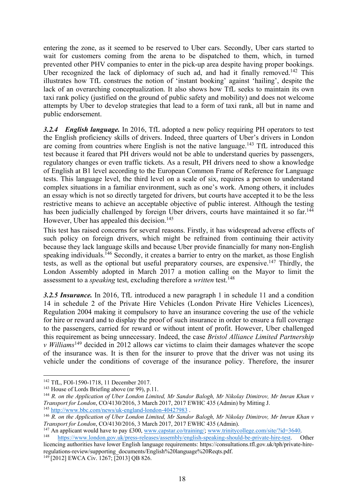entering the zone, as it seemed to be reserved to Uber cars. Secondly, Uber cars started to wait for customers coming from the arena to be dispatched to them, which, in turned prevented other PHV companies to enter in the pick-up area despite having proper bookings. Uber recognized the lack of diplomacy of such ad, and had it finally removed.<sup>142</sup> This illustrates how TfL construes the notion of 'instant booking' against 'hailing', despite the lack of an overarching conceptualization. It also shows how TfL seeks to maintain its own taxi rank policy (justified on the ground of public safety and mobility) and does not welcome attempts by Uber to develop strategies that lead to a form of taxi rank, all but in name and public endorsement.

*3.2.4 English language.* In 2016, TfL adopted a new policy requiring PH operators to test the English proficiency skills of drivers. Indeed, three quarters of Uber's drivers in London are coming from countries where English is not the native language.<sup>143</sup> TfL introduced this test because it feared that PH drivers would not be able to understand queries by passengers, regulatory changes or even traffic tickets. As a result, PH drivers need to show a knowledge of English at B1 level according to the European Common Frame of Reference for Language tests. This language level, the third level on a scale of six, requires a person to understand complex situations in a familiar environment, such as one's work. Among others, it includes an essay which is not so directly targeted for drivers, but courts have accepted it to be the less restrictive means to achieve an acceptable objective of public interest. Although the testing has been judicially challenged by foreign Uber drivers, courts have maintained it so far.<sup>144</sup> However, Uber has appealed this decision.<sup>145</sup>

This test has raised concerns for several reasons. Firstly, it has widespread adverse effects of such policy on foreign drivers, which might be refrained from continuing their activity because they lack language skills and because Uber provide financially for many non-English speaking individuals.<sup>146</sup> Secondly, it creates a barrier to entry on the market, as those English tests, as well as the optional but useful preparatory courses, are expensive.<sup>147</sup> Thirdly, the London Assembly adopted in March 2017 a motion calling on the Mayor to limit the assessment to a *speaking* test, excluding therefore a *written* test. 148

*3.2.5 Insurance.* In 2016, TfL introduced a new paragraph 1 in schedule 11 and a condition 14 in schedule 2 of the Private Hire Vehicles (London Private Hire Vehicles Licences), Regulation 2004 making it compulsory to have an insurance covering the use of the vehicle for hire or reward and to display the proof of such insurance in order to ensure a full coverage to the passengers, carried for reward or without intent of profit. However, Uber challenged this requirement as being unnecessary. Indeed, the case *Bristol Alliance Limited Partnership v Williams*<sup>149</sup> decided in 2012 allows car victims to claim their damages whatever the scope of the insurance was. It is then for the insurer to prove that the driver was not using its vehicle under the conditions of coverage of the insurance policy. Therefore, the insurer

<sup>145</sup> http://www.bbc.com/news/uk-england-london-40427983 .

<sup>&</sup>lt;sup>142</sup> TfL, FOI-1590-1718, 11 December 2017.<br><sup>143</sup> House of Lords Briefing above (nr 99), p.11.

<sup>&</sup>lt;sup>144</sup> R. on the Application of Uber London Limited, Mr Sandor Balogh, Mr Nikolay Dimitrov, Mr Imran Khan v *Transport for London*, CO/4130/2016, 3 March 2017, 2017 EWHC 435 (Admin) by Mitting J.

<sup>146</sup> *R. on the Application of Uber London Limited, Mr Sandor Balogh, Mr Nikolay Dimitrov, Mr Imran Khan v Transport for London*, CO/4130/2016, 3 March 2017, 2017 EWHC 435 (Admin).

<sup>&</sup>lt;sup>148</sup> https://www.london.gov.uk/press-releases/assembly/english-speaking-should-be-private-hire-test. Other licencing authorities have lower English language requirements: https://consultations.tfl.gov.uk/tph/private-hireregulations-review/supporting\_documents/English%20language%20Reqts.pdf.

<sup>149</sup> [2012] EWCA Civ. 1267; [2013] QB 826.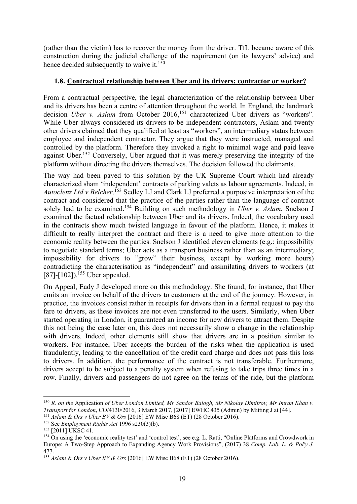(rather than the victim) has to recover the money from the driver. TfL became aware of this construction during the judicial challenge of the requirement (on its lawyers' advice) and hence decided subsequently to waive it.<sup>150</sup>

# **1.8. Contractual relationship between Uber and its drivers: contractor or worker?**

From a contractual perspective, the legal characterization of the relationship between Uber and its drivers has been a centre of attention throughout the world. In England, the landmark decision *Uber v. Aslam* from October 2016,<sup>151</sup> characterized Uber drivers as "workers". While Uber always considered its drivers to be independent contractors, Aslam and twenty other drivers claimed that they qualified at least as "workers", an intermediary status between employee and independent contractor. They argue that they were instructed, managed and controlled by the platform. Therefore they invoked a right to minimal wage and paid leave against Uber.<sup>152</sup> Conversely, Uber argued that it was merely preserving the integrity of the platform without directing the drivers themselves. The decision followed the claimants.

The way had been paved to this solution by the UK Supreme Court which had already characterized sham 'independent' contracts of parking valets as labour agreements. Indeed, in *Autoclenz Ltd v Belcher,* <sup>153</sup> Sedley LJ and Clark LJ preferred a purposive interpretation of the contract and considered that the practice of the parties rather than the language of contract solely had to be examined. <sup>154</sup> Building on such methodology in *Uber v. Aslam*, Snelson J examined the factual relationship between Uber and its drivers. Indeed, the vocabulary used in the contracts show much twisted language in favour of the platform. Hence, it makes it difficult to really interpret the contract and there is a need to give more attention to the economic reality between the parties. Snelson J identified eleven elements (e.g.: impossibility to negotiate standard terms; Uber acts as a transport business rather than as an intermediary; impossibility for drivers to "grow" their business, except by working more hours) contradicting the characterisation as "independent" and assimilating drivers to workers (at [87]-[102]).<sup>155</sup> Uber appealed.

On Appeal, Eady J developed more on this methodology. She found, for instance, that Uber emits an invoice on behalf of the drivers to customers at the end of the journey. However, in practice, the invoices consist rather in receipts for drivers than in a formal request to pay the fare to drivers, as these invoices are not even transferred to the users. Similarly, when Uber started operating in London, it guaranteed an income for new drivers to attract them. Despite this not being the case later on, this does not necessarily show a change in the relationship with drivers. Indeed, other elements still show that drivers are in a position similar to workers. For instance, Uber accepts the burden of the risks when the application is used fraudulently, leading to the cancellation of the credit card charge and does not pass this loss to drivers. In addition, the performance of the contract is not transferable. Furthermore, drivers accept to be subject to a penalty system when refusing to take trips three times in a row. Finally, drivers and passengers do not agree on the terms of the ride, but the platform

 <sup>150</sup> *R. on the* Application *of Uber London Limited, Mr Sandor Balogh, Mr Nikolay Dimitrov, Mr Imran Khan v. Transport for London*, CO/4130/2016, 3 March 2017, [2017] EWHC 435 (Admin) by Mitting J at [44]. <sup>151</sup> *Aslam & Ors v Uber BV & Ors* [2016] EW Misc B68 (ET) (28 October 2016).

<sup>&</sup>lt;sup>152</sup> See *Employment Rights Act* 1996 s230(3)(b).<br><sup>153</sup> [2011] UKSC 41.

<sup>&</sup>lt;sup>154</sup> On using the 'economic reality test' and 'control test', see e.g. L. Ratti, "Online Platforms and Crowdwork in Europe: A Two-Step Approach to Expanding Agency Work Provisions", (2017) 38 *Comp. Lab. L. & Pol'y J.* 477.

<sup>155</sup> *Aslam & Ors v Uber BV & Ors* [2016] EW Misc B68 (ET) (28 October 2016).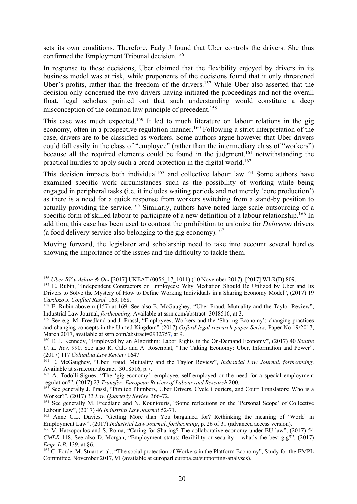sets its own conditions. Therefore, Eady J found that Uber controls the drivers. She thus confirmed the Employment Tribunal decision. 156

In response to these decisions, Uber claimed that the flexibility enjoyed by drivers in its business model was at risk, while proponents of the decisions found that it only threatened Uber's profits, rather than the freedom of the drivers.<sup>157</sup> While Uber also asserted that the decision only concerned the two drivers having initiated the proceedings and not the overall float, legal scholars pointed out that such understanding would constitute a deep misconception of the common law principle of precedent. 158

This case was much expected.<sup>159</sup> It led to much literature on labour relations in the gig economy, often in a prospective regulation manner.<sup>160</sup> Following a strict interpretation of the case, drivers are to be classified as workers. Some authors argue however that Uber drivers could fall easily in the class of "employee" (rather than the intermediary class of "workers") because all the required elements could be found in the judgment,<sup>161</sup> notwithstanding the practical hurdles to apply such a broad protection in the digital world. 162

This decision impacts both individual<sup>163</sup> and collective labour law.<sup>164</sup> Some authors have examined specific work circumstances such as the possibility of working while being engaged in peripheral tasks (i.e. it includes waiting periods and not merely 'core production') as there is a need for a quick response from workers switching from a stand-by position to actually providing the service.<sup>165</sup> Similarly, authors have noted large-scale outsourcing of a specific form of skilled labour to participate of a new definition of a labour relationship.<sup>166</sup> In addition, this case has been used to contrast the prohibition to unionize for *Deliveroo* drivers (a food delivery service also belonging to the gig economy). 167

Moving forward, the legislator and scholarship need to take into account several hurdles showing the importance of the issues and the difficulty to tackle them.

<sup>&</sup>lt;sup>156</sup> *Uber BV v Aslam & Ors* [2017] UKEAT (0056\_17\_1011) (10 November 2017), [2017] WLR(D) 809.<br><sup>157</sup> E. Rubin, "Independent Contractors or Employees: Why Mediation Should Be Utilized by Uber and Its

Drivers to Solve the Mystery of How to Define Working Individuals in a Sharing Economy Model", (2017) 19 *Cardozo J. Conflict Resol.* 163, 168.

<sup>&</sup>lt;sup>158</sup> E. Rubin above n (157) at 169. See also E. McGaughey, "Uber Fraud, Mutuality and the Taylor Review", Industrial Law Journal, *forthcoming*. Available at ssrn.com/abstract=3018516, at 3.

<sup>159</sup> See e.g. M. Freedland and J. Prassl, "Employees, Workers and the 'Sharing Economy': changing practices and changing concepts in the United Kingdom" (2017) *Oxford legal research paper Series*, Paper No 19/2017, March 2017, available at ssrn.com/abstract=2932757, at 9.

<sup>160</sup> E. J. Kennedy, "Employed by an Algorithm: Labor Rights in the On-Demand Economy", (2017) 40 *Seattle U. L. Rev.* 990. See also R. Calo and A. Rosenblat, "The Taking Economy: Uber, Information and Power", (2017) 117 *Columbia Law Review* 1647.

<sup>161</sup> E. McGaughey, "Uber Fraud, Mutuality and the Taylor Review", *Industrial Law Journal*, *forthcoming*.

<sup>&</sup>lt;sup>162</sup> A. Todolli-Signes, "The 'gig-economy': employee, self-employed or the need for a special employment regulation?", (2017) 23 *Transfer: European Review of Labour and Research* 200.

<sup>&</sup>lt;sup>163</sup> See generally J. Prassl, "Pimlico Plumbers, Uber Drivers, Cycle Couriers, and Court Translators: Who is a Worker?", (2017) 33 *Law Quarterly Review* 366-72.

<sup>&</sup>lt;sup>164</sup> See generally M. Freedland and N. Kountouris, "Some reflections on the 'Personal Scope' of Collective Labour Law", (2017) 46 *Industrial Law Journal* 52-71.

<sup>165</sup> Anne C.L. Davies, "Getting More than You bargained for? Rethinking the meaning of 'Work' in Employment Law", (2017) *Industrial Law Journal*, *forthcoming*, p. 26 of 31 (advanced access version).

<sup>&</sup>lt;sup>166</sup> V. Hatzopoulos and S. Roma, "Caring for Sharing? The collaborative economy under EU law", (2017) 54 *CMLR* 118. See also D. Morgan, "Employment status: flexibility or security – what's the best gig?", (2017) *Emp. L.B.* 139, at §6.

<sup>&</sup>lt;sup>167</sup> C. Forde, M. Stuart et al., "The social protection of Workers in the Platform Economy", Study for the EMPL Committee, November 2017, 91 (available at europarl.europa.eu/supporting-analyses).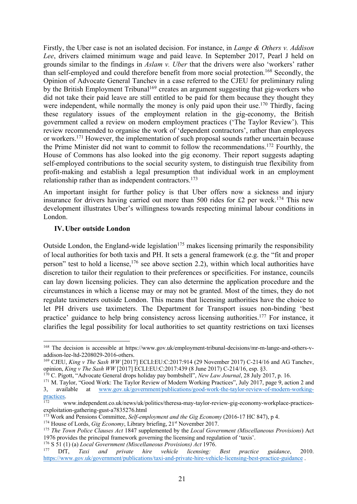Firstly, the Uber case is not an isolated decision. For instance, in *Lange & Others v. Addison Lee*, drivers claimed minimum wage and paid leave. In September 2017, Pearl J held on grounds similar to the findings in *Aslam v. Uber* that the drivers were also 'workers' rather than self-employed and could therefore benefit from more social protection. <sup>168</sup> Secondly, the Opinion of Advocate General Tanchev in a case referred to the CJEU for preliminary ruling by the British Employment Tribunal<sup>169</sup> creates an argument suggesting that gig-workers who did not take their paid leave are still entitled to be paid for them because they thought they were independent, while normally the money is only paid upon their use.<sup>170</sup> Thirdly, facing these regulatory issues of the employment relation in the gig-economy, the British government called a review on modern employment practices ('The Taylor Review'). This review recommended to organise the work of 'dependent contractors', rather than employees or workers.<sup>171</sup> However, the implementation of such proposal sounds rather uncertain because the Prime Minister did not want to commit to follow the recommendations. <sup>172</sup> Fourthly, the House of Commons has also looked into the gig economy. Their report suggests adapting self-employed contributions to the social security system, to distinguish true flexibility from profit-making and establish a legal presumption that individual work in an employment relationship rather than as independent contractors.<sup>173</sup>

An important insight for further policy is that Uber offers now a sickness and injury insurance for drivers having carried out more than 500 rides for £2 per week.<sup>174</sup> This new development illustrates Uber's willingness towards respecting minimal labour conditions in London.

### **IV.Uber outside London**

Outside London, the England-wide legislation $175$  makes licensing primarily the responsibility of local authorities for both taxis and PH. It sets a general framework (e.g. the "fit and proper person" test to hold a license,<sup>176</sup> see above section 2.2), within which local authorities have discretion to tailor their regulation to their preferences or specificities. For instance, councils can lay down licensing policies. They can also determine the application procedure and the circumstances in which a license may or may not be granted. Most of the times, they do not regulate taximeters outside London. This means that licensing authorities have the choice to let PH drivers use taximeters. The Department for Transport issues non-binding 'best practice' guidance to help bring consistency across licensing authorities.<sup>177</sup> For instance, it clarifies the legal possibility for local authorities to set quantity restrictions on taxi licenses

 <sup>168</sup> The decision is accessible at https://www.gov.uk/employment-tribunal-decisions/mr-m-lange-and-others-vaddison-lee-ltd-2208029-2016-others.

<sup>&</sup>lt;sup>169</sup> CJEU, *King v The Sash WW* [2017] ECLI:EU:C:2017:914 (29 November 2017) C-214/16 and AG Tanchev, opinion, *King v The Sash WW* [2017] ECLI:EU:C:2017:439 (8 June 2017) C-214/16, esp. §3.

<sup>170</sup> C. Pigott, "Advocate General drops holiday pay bombshell", *New Law Journal*, 28 July 2017, p. 16.

<sup>&</sup>lt;sup>171</sup> M. Taylor, "Good Work: The Taylor Review of Modern Working Practices", July 2017, page 9, action 2 and 3, available at www.gov.uk/government/publications/good-work-the-taylor-review-of-modern-workingat www.gov.uk/government/publications/good-work-the-taylor-review-of-modern-workingpractices.<br><sup>172</sup> www.independent.co.uk/news/uk/politics/theresa-may-taylor-review-gig-economy-workplace-practices-

exploitation-gathering-gust-a7835276.html

<sup>173</sup> Work and Pensions Committee, *Self-employment and the Gig Economy* (2016-17 HC 847), p 4.

<sup>&</sup>lt;sup>174</sup> House of Lords, *Gig Economy*, Library briefing, 21<sup>st</sup> November 2017.

<sup>175</sup> *The Town Police Clauses Act* 1847 supplemented by the *Local Government (Miscellaneous Provisions*) Act 1976 provides the principal framework governing the licensing and regulation of 'taxis'. 176 <sup>S</sup> 51 (1) (a) *Local Government (Miscellaneous Provisions) Act* 1976.

Taxi and private hire vehicle licensing: Best practice guidance, 2010. https://www.gov.uk/government/publications/taxi-and-private-hire-vehicle-licensing-best-practice-guidance .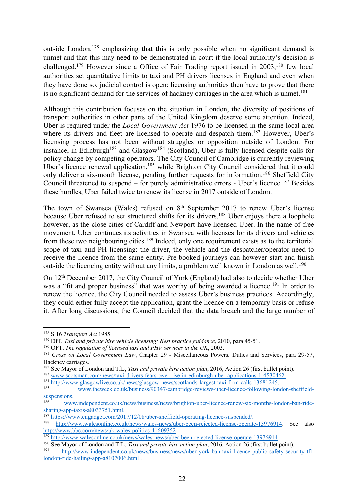outside London,<sup>178</sup> emphasizing that this is only possible when no significant demand is unmet and that this may need to be demonstrated in court if the local authority's decision is challenged.<sup>179</sup> However since a Office of Fair Trading report issued in 2003,<sup>180</sup> few local authorities set quantitative limits to taxi and PH drivers licenses in England and even when they have done so, judicial control is open: licensing authorities then have to prove that there is no significant demand for the services of hackney carriages in the area which is unmet.<sup>181</sup>

Although this contribution focuses on the situation in London, the diversity of positions of transport authorities in other parts of the United Kingdom deserve some attention. Indeed, Uber is required under the *Local Government Act* 1976 to be licensed in the same local area where its drivers and fleet are licensed to operate and despatch them.<sup>182</sup> However, Uber's licensing process has not been without struggles or opposition outside of London. For instance, in Edinburgh<sup>183</sup> and Glasgow<sup>184</sup> (Scotland), Uber is fully licensed despite calls for policy change by competing operators. The City Council of Cambridge is currently reviewing Uber's licence renewal application,<sup>185</sup> while Brighton City Council considered that it could only deliver a six-month license, pending further requests for information.<sup>186</sup> Sheffield City Council threatened to suspend – for purely administrative errors - Uber's licence. <sup>187</sup> Besides these hurdles, Uber failed twice to renew its license in 2017 outside of London.

The town of Swansea (Wales) refused on 8<sup>th</sup> September 2017 to renew Uber's license because Uber refused to set structured shifts for its drivers.<sup>188</sup> Uber enjoys there a loophole however, as the close cities of Cardiff and Newport have licensed Uber. In the name of free movement, Uber continues its activities in Swansea with licenses for its drivers and vehicles from these two neighbouring cities.<sup>189</sup> Indeed, only one requirement exists as to the territorial scope of taxi and PH licensing: the driver, the vehicle and the despatcher/operator need to receive the licence from the same entity. Pre-booked journeys can however start and finish outside the licencing entity without any limits, a problem well known in London as well.<sup>190</sup>

On 12th December 2017, the City Council of York (England) had also to decide whether Uber was a "fit and proper business" that was worthy of being awarded a licence.<sup>191</sup> In order to renew the licence, the City Council needed to assess Uber's business practices. Accordingly, they could either fully accept the application, grant the licence on a temporary basis or refuse it. After long discussions, the Council decided that the data breach and the large number of

 <sup>178</sup> <sup>S</sup> <sup>16</sup>*Transport Act* 1985.

<sup>179</sup> DfT, *Taxi and private hire vehicle licensing: Best practice guidance*, 2010, para 45-51.

<sup>180</sup> OFT, *The regulation of licensed taxi and PHV services in the UK*, 2003.

<sup>&</sup>lt;sup>181</sup> *Cross on Local Government Law*, Chapter 29 - Miscellaneous Powers, Duties and Services, para 29-57, Hackney carriages.

<sup>&</sup>lt;sup>182</sup> See Mayor of London and TfL, *Taxi and private hire action plan*, 2016, Action 26 (first bullet point). <sup>183</sup> www.scotsman.com/news/taxi-drivers-fears-over-rise-in-edinburgh-uber-applications-1-4530462.

<sup>&</sup>lt;sup>184</sup> http://www.glasgowlive.co.uk/news/glasgow-news/scotlands-largest-taxi-firm-calls-13681245.

<sup>185</sup> www.theweek.co.uk/business/90347/cambridge-reviews-uber-licence-following-london-sheffieldsuspensions.

<sup>186</sup> www.independent.co.uk/news/business/news/brighton-uber-licence-renew-six-months-london-ban-ridesharing-app-taxis-a8033751.html.

<sup>187</sup> https://www.engadget.com/2017/12/08/uber-sheffield-operating-licence-suspended/.

<sup>188</sup> http://www.walesonline.co.uk/news/wales-news/uber-been-rejected-license-operate-13976914. See also http://www.bbc.com/news/uk-wales-politics-41609352 .

 $\frac{189}{189}$  http://www.walesonline.co.uk/news/wales-news/uber-been-rejected-license-operate-13976914.<br><sup>190</sup> See Mayor of London and TfL, *Taxi and private hire action plan*, 2016, Action 26 (first bullet point).

<sup>191</sup> http://www.independent.co.uk/news/business/news/uber-york-ban-taxi-licence-public-safety-security-tfllondon-ride-hailing-app-a8107006.html .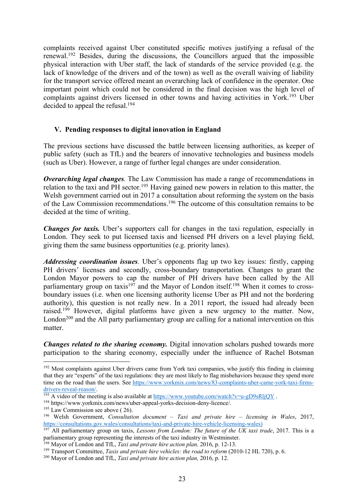complaints received against Uber constituted specific motives justifying a refusal of the renewal.<sup>192</sup> Besides, during the discussions, the Councillors argued that the impossible physical interaction with Uber staff, the lack of standards of the service provided (e.g. the lack of knowledge of the drivers and of the town) as well as the overall waiving of liability for the transport service offered meant an overarching lack of confidence in the operator. One important point which could not be considered in the final decision was the high level of complaints against drivers licensed in other towns and having activities in York.<sup>193</sup> Uber decided to appeal the refusal.<sup>194</sup>

### **V. Pending responses to digital innovation in England**

The previous sections have discussed the battle between licensing authorities, as keeper of public safety (such as TfL) and the bearers of innovative technologies and business models (such as Uber). However, a range of further legal changes are under consideration.

*Overarching legal changes.* The Law Commission has made a range of recommendations in relation to the taxi and PH sector.<sup>195</sup> Having gained new powers in relation to this matter, the Welsh government carried out in 2017 a consultation about reforming the system on the basis of the Law Commission recommendations. <sup>196</sup> The outcome of this consultation remains to be decided at the time of writing.

*Changes for taxis.* Uber's supporters call for changes in the taxi regulation, especially in London. They seek to put licensed taxis and licensed PH drivers on a level playing field, giving them the same business opportunities (e.g. priority lanes).

*Addressing coordination issues.* Uber's opponents flag up two key issues: firstly, capping PH drivers' licenses and secondly, cross-boundary transportation. Changes to grant the London Mayor powers to cap the number of PH drivers have been called by the All parliamentary group on taxis<sup>197</sup> and the Mayor of London itself.<sup>198</sup> When it comes to crossboundary issues (i.e. when one licensing authority license Uber as PH and not the bordering authority), this question is not really new. In a 2011 report, the issued had already been raised.199 However, digital platforms have given a new urgency to the matter. Now, London<sup>200</sup> and the All party parliamentary group are calling for a national intervention on this matter.

*Changes related to the sharing economy.* Digital innovation scholars pushed towards more participation to the sharing economy, especially under the influence of Rachel Botsman

<sup>&</sup>lt;sup>192</sup> Most complaints against Uber drivers came from York taxi companies, who justify this finding in claiming that they are "experts" of the taxi regulations: they are most likely to flag misbehaviors because they spend more time on the road than the users. See https://www.yorkmix.com/news/83-complaints-uber-came-york-taxi-firmsdrivers-reveal-reason/.

 $\frac{193}{193}$  A video of the meeting is also available at https://www.youtube.com/watch?v=u-gD9sRljQY.

<sup>194</sup> https://www.yorkmix.com/news/uber-appeal-yorks-decision-deny-licence/.

 $195$  Law Commission see above (26).

<sup>196</sup> Welsh Government, *Consultation document – Taxi and private hire – licensing in Wales*, 2017, https://consultations.gov.wales/consultations/taxi-and-private-hire-vehicle-licensing-wales)

<sup>197</sup> All parliamentary group on taxis, *Lessons from London: The future of the UK taxi trade*, 2017. This is a parliamentary group representing the interests of the taxi industry in Westminster.

<sup>198</sup> Mayor of London and TfL, *Taxi and private hire action plan,* 2016, p. 12-13.

<sup>&</sup>lt;sup>199</sup> Transport Committee, *Taxis and private hire vehicles: the road to reform* (2010-12 HL 720), p. 6.

<sup>200</sup> Mayor of London and TfL, *Taxi and private hire action plan,* 2016, p. 12.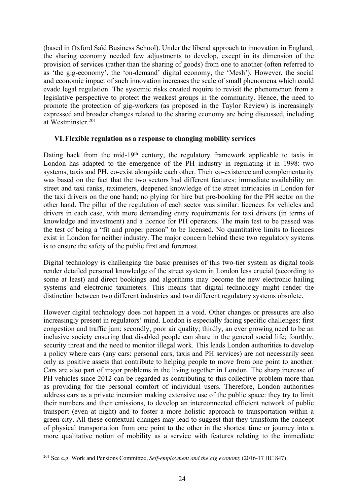(based in Oxford Saïd Business School). Under the liberal approach to innovation in England, the sharing economy needed few adjustments to develop, except in its dimension of the provision of services (rather than the sharing of goods) from one to another (often referred to as 'the gig-economy', the 'on-demand' digital economy, the 'Mesh'). However, the social and economic impact of such innovation increases the scale of small phenomena which could evade legal regulation. The systemic risks created require to revisit the phenomenon from a legislative perspective to protect the weakest groups in the community. Hence, the need to promote the protection of gig-workers (as proposed in the Taylor Review) is increasingly expressed and broader changes related to the sharing economy are being discussed, including at Westminster. 201

### **VI.Flexible regulation as a response to changing mobility services**

Dating back from the mid-19<sup>th</sup> century, the regulatory framework applicable to taxis in London has adapted to the emergence of the PH industry in regulating it in 1998: two systems, taxis and PH, co-exist alongside each other. Their co-existence and complementarity was based on the fact that the two sectors had different features: immediate availability on street and taxi ranks, taximeters, deepened knowledge of the street intricacies in London for the taxi drivers on the one hand; no plying for hire but pre-booking for the PH sector on the other hand. The pillar of the regulation of each sector was similar: licences for vehicles and drivers in each case, with more demanding entry requirements for taxi drivers (in terms of knowledge and investment) and a licence for PH operators. The main test to be passed was the test of being a "fit and proper person" to be licensed. No quantitative limits to licences exist in London for neither industry. The major concern behind these two regulatory systems is to ensure the safety of the public first and foremost.

Digital technology is challenging the basic premises of this two-tier system as digital tools render detailed personal knowledge of the street system in London less crucial (according to some at least) and direct bookings and algorithms may become the new electronic hailing systems and electronic taximeters. This means that digital technology might render the distinction between two different industries and two different regulatory systems obsolete.

However digital technology does not happen in a void. Other changes or pressures are also increasingly present in regulators' mind. London is especially facing specific challenges: first congestion and traffic jam; secondly, poor air quality; thirdly, an ever growing need to be an inclusive society ensuring that disabled people can share in the general social life; fourthly, security threat and the need to monitor illegal work. This leads London authorities to develop a policy where cars (any cars: personal cars, taxis and PH services) are not necessarily seen only as positive assets that contribute to helping people to move from one point to another. Cars are also part of major problems in the living together in London. The sharp increase of PH vehicles since 2012 can be regarded as contributing to this collective problem more than as providing for the personal comfort of individual users. Therefore, London authorities address cars as a private incursion making extensive use of the public space: they try to limit their numbers and their emissions, to develop an interconnected efficient network of public transport (even at night) and to foster a more holistic approach to transportation within a green city. All these contextual changes may lead to suggest that they transform the concept of physical transportation from one point to the other in the shortest time or journey into a more qualitative notion of mobility as a service with features relating to the immediate

 <sup>201</sup> See e.g. Work and Pensions Committee, *Self-employment and the gig economy* (2016-17 HC 847).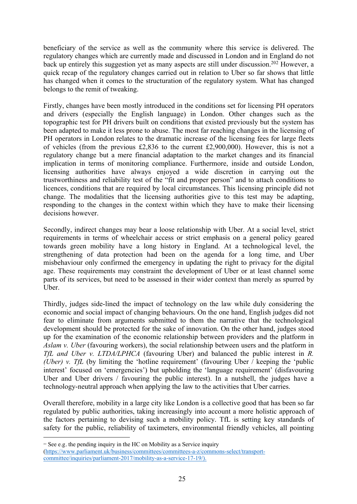beneficiary of the service as well as the community where this service is delivered. The regulatory changes which are currently made and discussed in London and in England do not back up entirely this suggestion yet as many aspects are still under discussion.<sup>202</sup> However, a quick recap of the regulatory changes carried out in relation to Uber so far shows that little has changed when it comes to the structuration of the regulatory system. What has changed belongs to the remit of tweaking.

Firstly, changes have been mostly introduced in the conditions set for licensing PH operators and drivers (especially the English language) in London. Other changes such as the topographic test for PH drivers built on conditions that existed previously but the system has been adapted to make it less prone to abuse. The most far reaching changes in the licensing of PH operators in London relates to the dramatic increase of the licensing fees for large fleets of vehicles (from the previous £2,836 to the current £2,900,000). However, this is not a regulatory change but a mere financial adaptation to the market changes and its financial implication in terms of monitoring compliance. Furthermore, inside and outside London, licensing authorities have always enjoyed a wide discretion in carrying out the trustworthiness and reliability test of the "fit and proper person" and to attach conditions to licences, conditions that are required by local circumstances. This licensing principle did not change. The modalities that the licensing authorities give to this test may be adapting, responding to the changes in the context within which they have to make their licensing decisions however.

Secondly, indirect changes may bear a loose relationship with Uber. At a social level, strict requirements in terms of wheelchair access or strict emphasis on a general policy geared towards green mobility have a long history in England. At a technological level, the strengthening of data protection had been on the agenda for a long time, and Uber misbehaviour only confirmed the emergency in updating the right to privacy for the digital age. These requirements may constraint the development of Uber or at least channel some parts of its services, but need to be assessed in their wider context than merely as spurred by Uber.

Thirdly, judges side-lined the impact of technology on the law while duly considering the economic and social impact of changing behaviours. On the one hand, English judges did not fear to eliminate from arguments submitted to them the narrative that the technological development should be protected for the sake of innovation. On the other hand, judges stood up for the examination of the economic relationship between providers and the platform in *Aslam v. Uber* (favouring workers), the social relationship between users and the platform in *TfL and Uber v. LTDA/LPHCA* (favouring Uber) and balanced the public interest in *R. (Uber) v. TfL* (by limiting the 'hotline requirement' (favouring Uber / keeping the 'public') interest' focused on 'emergencies') but upholding the 'language requirement' (disfavouring Uber and Uber drivers / favouring the public interest). In a nutshell, the judges have a technology-neutral approach when applying the law to the activities that Uber carries.

Overall therefore, mobility in a large city like London is a collective good that has been so far regulated by public authorities, taking increasingly into account a more holistic approach of the factors pertaining to devising such a mobility policy. TfL is setting key standards of safety for the public, reliability of taximeters, environmental friendly vehicles, all pointing

 $\overline{a}$ 

<sup>&</sup>lt;sup>202</sup> See e.g. the pending inquiry in the HC on Mobility as a Service inquiry (https://www.parliament.uk/business/committees/committees-a-z/commons-select/transportcommittee/inquiries/parliament-2017/mobility-as-a-service-17-19/).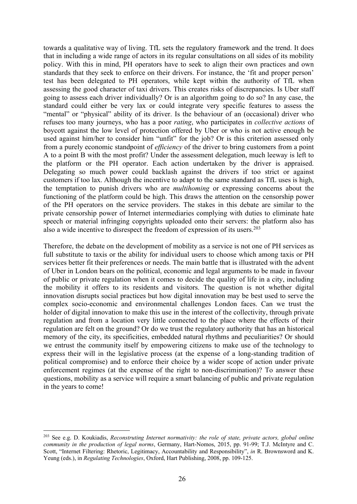towards a qualitative way of living. TfL sets the regulatory framework and the trend. It does that in including a wide range of actors in its regular consultations on all sides of its mobility policy. With this in mind, PH operators have to seek to align their own practices and own standards that they seek to enforce on their drivers. For instance, the 'fit and proper person' test has been delegated to PH operators, while kept within the authority of TfL when assessing the good character of taxi drivers. This creates risks of discrepancies. Is Uber staff going to assess each driver individually? Or is an algorithm going to do so? In any case, the standard could either be very lax or could integrate very specific features to assess the "mental" or "physical" ability of its driver. Is the behaviour of an (occasional) driver who refuses too many journeys, who has a poor *rating*, who participates in *collective actions* of boycott against the low level of protection offered by Uber or who is not active enough be used against him/her to consider him "unfit" for the job? Or is this criterion assessed only from a purely economic standpoint of *efficiency* of the driver to bring customers from a point A to a point B with the most profit? Under the assessment delegation, much leeway is left to the platform or the PH operator. Each action undertaken by the driver is appraised. Delegating so much power could backlash against the drivers if too strict or against customers if too lax. Although the incentive to adapt to the same standard as TfL uses is high, the temptation to punish drivers who are *multihoming* or expressing concerns about the functioning of the platform could be high. This draws the attention on the censorship power of the PH operators on the service providers. The stakes in this debate are similar to the private censorship power of Internet intermediaries complying with duties to eliminate hate speech or material infringing copyrights uploaded onto their servers: the platform also has also a wide incentive to disrespect the freedom of expression of its users. 203

Therefore, the debate on the development of mobility as a service is not one of PH services as full substitute to taxis or the ability for individual users to choose which among taxis or PH services better fit their preferences or needs. The main battle that is illustrated with the advent of Uber in London bears on the political, economic and legal arguments to be made in favour of public or private regulation when it comes to decide the quality of life in a city, including the mobility it offers to its residents and visitors. The question is not whether digital innovation disrupts social practices but how digital innovation may be best used to serve the complex socio-economic and environmental challenges London faces. Can we trust the holder of digital innovation to make this use in the interest of the collectivity, through private regulation and from a location very little connected to the place where the effects of their regulation are felt on the ground? Or do we trust the regulatory authority that has an historical memory of the city, its specificities, embedded natural rhythms and peculiarities? Or should we entrust the community itself by empowering citizens to make use of the technology to express their will in the legislative process (at the expense of a long-standing tradition of political compromise) and to enforce their choice by a wider scope of action under private enforcement regimes (at the expense of the right to non-discrimination)? To answer these questions, mobility as a service will require a smart balancing of public and private regulation in the years to come!

 <sup>203</sup> See e.g. D. Koukiadis, *Reconstruting Internet normativity: the role of state, private actors, global online community in the production of legal norms*, Germany, Hart-Nomos, 2015, pp. 91-99; T.J. McIntyre and C. Scott, "Internet Filtering: Rhetoric, Legitimacy, Accountability and Responsibility", *in* R. Brownsword and K. Yeung (eds.), in *Regulating Technologies*, Oxford, Hart Publishing, 2008, pp. 109-125.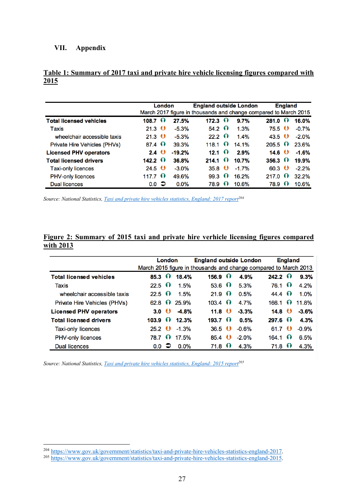### **VII. Appendix**

|                                | London           |  |          | <b>England outside London</b> | <b>England</b><br>March 2017 figure in thousands and change compared to March 2015 |         |                  |           |         |
|--------------------------------|------------------|--|----------|-------------------------------|------------------------------------------------------------------------------------|---------|------------------|-----------|---------|
| <b>Total licensed vehicles</b> | $108.7 \Omega$   |  | 27.5%    | $172.3 \Omega$                |                                                                                    | 9.7%    | 281.0            | $\bullet$ | 16.0%   |
| Taxis                          | $21.3$ $\bullet$ |  | $-5.3%$  | $54.2 \Omega$                 |                                                                                    | 1.3%    | $75.5$ $\bullet$ |           | $-0.7%$ |
| wheelchair accessible taxis    | $21.3$ $\bullet$ |  | $-5.3%$  | 22.2 $\Omega$                 |                                                                                    | 1.4%    | 43.5 $\bullet$   |           | $-2.0%$ |
| Private Hire Vehicles (PHVs)   | 87.4 $\Omega$    |  | 39.3%    | 118.1 $\Omega$                |                                                                                    | 14.1%   | $205.5 \Omega$   |           | 23.6%   |
| <b>Licensed PHV operators</b>  | 2.4 $\bullet$    |  | $-19.2%$ | $12.1 \Omega$                 |                                                                                    | 2.9%    | 14.6 $\bullet$   |           | $-1.6%$ |
| <b>Total licensed drivers</b>  | $142.2 \Omega$   |  | 36.8%    | 214.1                         | $\Omega$                                                                           | 10.7%   | $356.3 \Omega$   |           | 19.9%   |
| <b>Taxi-only licences</b>      | 24.5 $\bullet$   |  | $-3.0%$  | $35.8$ $\bullet$              |                                                                                    | $-1.7%$ | $60.3$ $\bullet$ |           | $-2.2%$ |
| PHV-only licences              | 117.7 $\Omega$   |  | 49.6%    | 99.3                          | $\Omega$                                                                           | 16.2%   | 217.0            | $\bullet$ | 32.2%   |
| <b>Dual licences</b>           | $0.0$ $\supset$  |  | 0.0%     | 78.9                          | $\Omega$                                                                           | 10.6%   | 78.9             | $\bullet$ | 10.6%   |

### **Table 1: Summary of 2017 taxi and private hire vehicle licensing figures compared with 2015**

*Source: National Statistics, Taxi and private hire vehicles statistics, England: 2017 report204*

## **Figure 2: Summary of 2015 taxi and private hire verhicle licensing figures compared with 2013**

|                                | London           |          |         | <b>England outside London</b><br>March 2015 figure in thousands and change compared to March 2013 |                  |         | <b>England</b> |            |         |
|--------------------------------|------------------|----------|---------|---------------------------------------------------------------------------------------------------|------------------|---------|----------------|------------|---------|
| <b>Total licensed vehicles</b> | $85.3 \Omega$    |          | 18.4%   | $156.9 \Omega$                                                                                    |                  | 4.9%    | $242.2 \Omega$ |            | 9.3%    |
| Taxis                          | $22.5 \Omega$    |          | 1.5%    |                                                                                                   | $53.6 \Omega$    | 5.3%    | $76.1 \bullet$ |            | 4.2%    |
| wheelchair accessible taxis    | $22.5 \Omega$    |          | 1.5%    |                                                                                                   | $21.9 \Omega$    | 0.5%    | 44.4 $\bullet$ |            | 1.0%    |
| Private Hire Vehicles (PHVs)   | 62.8             | $\Omega$ | 25.9%   | $103.4 \Omega$                                                                                    |                  | 4.7%    | 166.1          | $\bullet$  | 11.8%   |
| <b>Licensed PHV operators</b>  | 3.0 <sub>0</sub> |          | $-4.8%$ |                                                                                                   | 11.8 $\bullet$   | $-3.3%$ | 14.8 $\bullet$ |            | $-3.6%$ |
| <b>Total licensed drivers</b>  | $103.9 \Omega$   |          | 12.3%   | $193.7 \Omega$                                                                                    |                  | 0.5%    | $297.6$ (i)    |            | 4.3%    |
| <b>Taxi-only licences</b>      | $25.2$ $\bullet$ |          | $-1.3%$ |                                                                                                   | $36.5$ $\bullet$ | $-0.6%$ | 61.7           | $\bullet$  | $-0.9%$ |
| <b>PHV-only licences</b>       | 78.7 O           |          | 17.5%   |                                                                                                   | $85.4$ ()        | $-2.0%$ | 164.1          | - 11       | 6.5%    |
| Dual licences                  | $0.0\Rightarrow$ |          | 0.0%    |                                                                                                   | $71.8\Omega$     | 4.3%    | 71.8           | <b>(i)</b> | 4.3%    |

*Source: National Statistics, Taxi and private hire vehicles statistics, England: 2015 report205*

<sup>204</sup> https://www.gov.uk/government/statistics/taxi-and-private-hire-vehicles-statistics-england-2017.

<sup>&</sup>lt;sup>205</sup> https://www.gov.uk/government/statistics/taxi-and-private-hire-vehicles-statistics-england-2015.